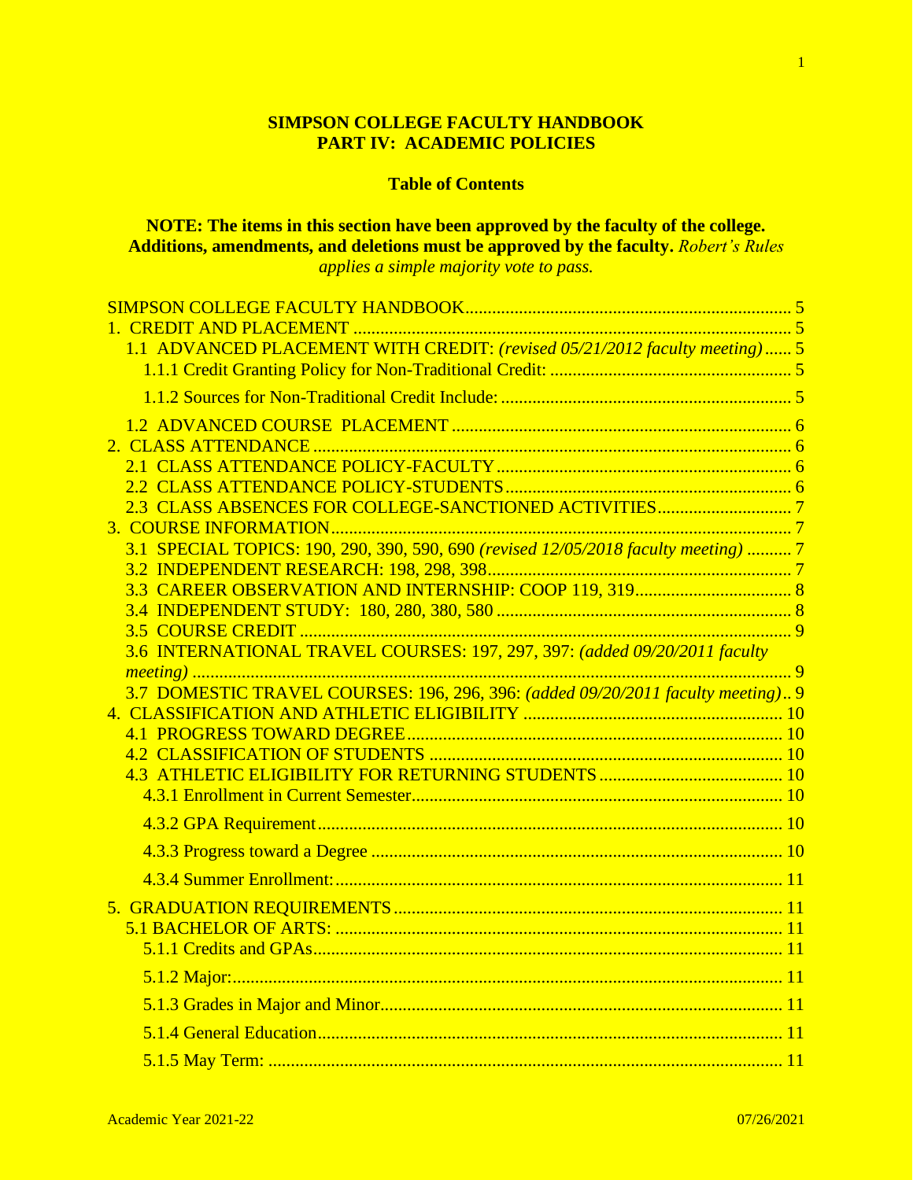## **SIMPSON COLLEGE FACULTY HANDBOOK PART IV: ACADEMIC POLICIES**

# **Table of Contents**

**NOTE: The items in this section have been approved by the faculty of the college. Additions, amendments, and deletions must be approved by the faculty.** *Robert's Rules* 

*applies a simple majority vote to pass.*

| 1.1 ADVANCED PLACEMENT WITH CREDIT: (revised 05/21/2012 faculty meeting) 5          |  |
|-------------------------------------------------------------------------------------|--|
|                                                                                     |  |
|                                                                                     |  |
|                                                                                     |  |
|                                                                                     |  |
|                                                                                     |  |
|                                                                                     |  |
|                                                                                     |  |
|                                                                                     |  |
| 3.1 SPECIAL TOPICS: 190, 290, 390, 590, 690 (revised 12/05/2018 faculty meeting)  7 |  |
|                                                                                     |  |
|                                                                                     |  |
|                                                                                     |  |
|                                                                                     |  |
| 3.6 INTERNATIONAL TRAVEL COURSES: 197, 297, 397: (added 09/20/2011 faculty          |  |
| 3.7 DOMESTIC TRAVEL COURSES: 196, 296, 396: (added 09/20/2011 faculty meeting) 9    |  |
|                                                                                     |  |
|                                                                                     |  |
|                                                                                     |  |
|                                                                                     |  |
|                                                                                     |  |
|                                                                                     |  |
|                                                                                     |  |
|                                                                                     |  |
|                                                                                     |  |
|                                                                                     |  |
|                                                                                     |  |
|                                                                                     |  |
|                                                                                     |  |
|                                                                                     |  |
|                                                                                     |  |
|                                                                                     |  |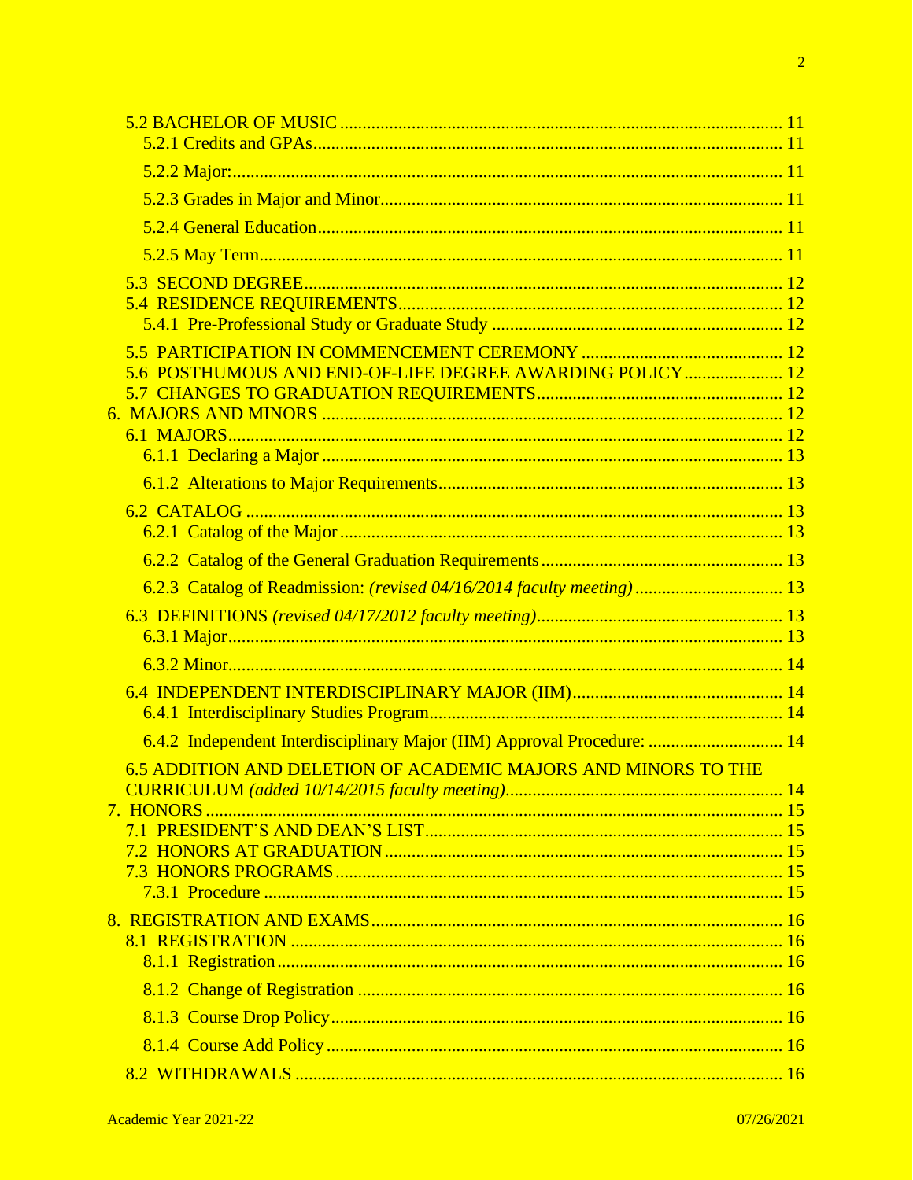| 5.6 POSTHUMOUS AND END-OF-LIFE DEGREE AWARDING POLICY 12                |  |
|-------------------------------------------------------------------------|--|
|                                                                         |  |
|                                                                         |  |
|                                                                         |  |
|                                                                         |  |
|                                                                         |  |
|                                                                         |  |
|                                                                         |  |
| 6.2.3 Catalog of Readmission: (revised 04/16/2014 faculty meeting) 13   |  |
|                                                                         |  |
|                                                                         |  |
|                                                                         |  |
|                                                                         |  |
|                                                                         |  |
| 6.4.2 Independent Interdisciplinary Major (IIM) Approval Procedure:  14 |  |
| 6.5 ADDITION AND DELETION OF ACADEMIC MAJORS AND MINORS TO THE          |  |
|                                                                         |  |
| 7. HONORS                                                               |  |
|                                                                         |  |
|                                                                         |  |
|                                                                         |  |
|                                                                         |  |
|                                                                         |  |
|                                                                         |  |
|                                                                         |  |
|                                                                         |  |
|                                                                         |  |
|                                                                         |  |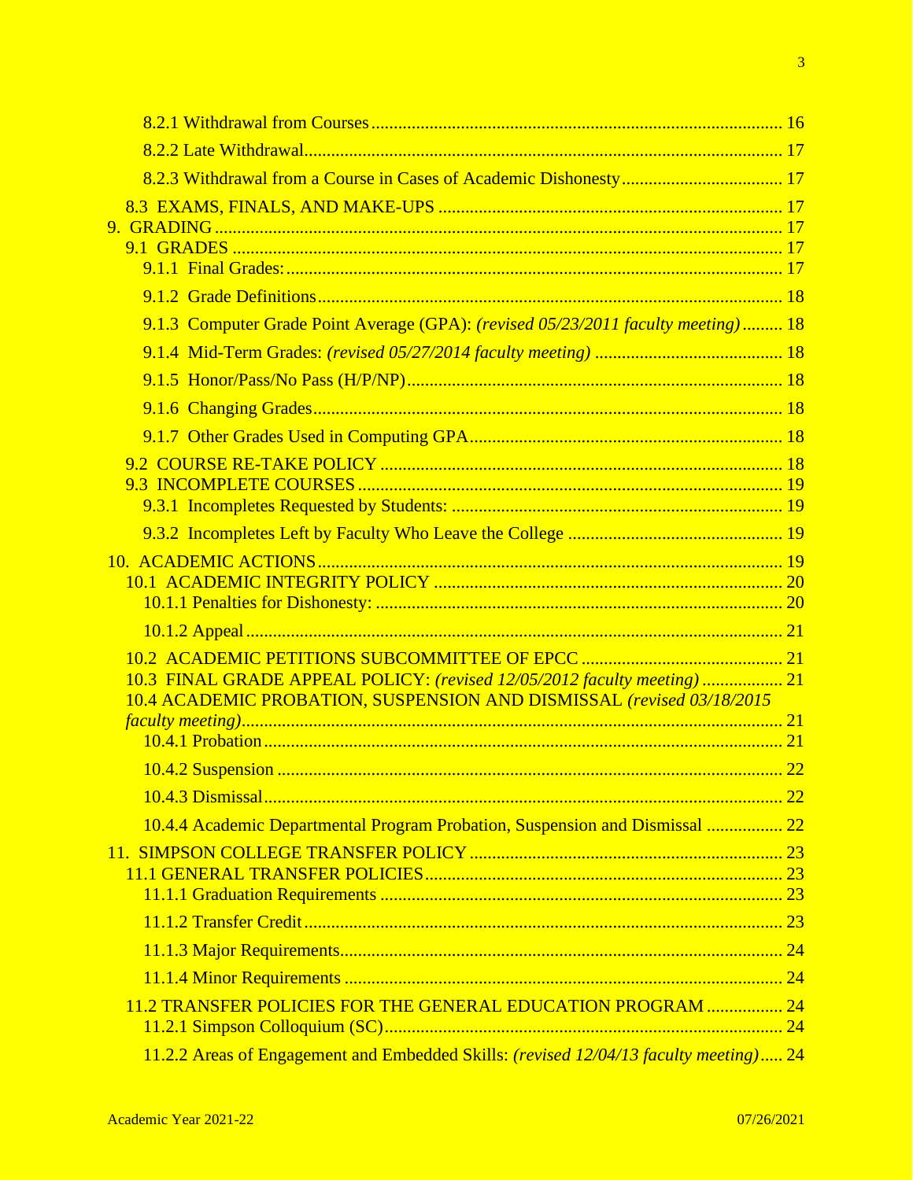| 9.1.3 Computer Grade Point Average (GPA): (revised 05/23/2011 faculty meeting) 18            |  |
|----------------------------------------------------------------------------------------------|--|
|                                                                                              |  |
|                                                                                              |  |
|                                                                                              |  |
|                                                                                              |  |
|                                                                                              |  |
|                                                                                              |  |
|                                                                                              |  |
|                                                                                              |  |
|                                                                                              |  |
|                                                                                              |  |
|                                                                                              |  |
|                                                                                              |  |
| 10.3 FINAL GRADE APPEAL POLICY: (revised 12/05/2012 faculty meeting)  21                     |  |
| 10.4 ACADEMIC PROBATION, SUSPENSION AND DISMISSAL (revised 03/18/2015                        |  |
|                                                                                              |  |
|                                                                                              |  |
|                                                                                              |  |
|                                                                                              |  |
| 10.4.4 Academic Departmental Program Probation, Suspension and Dismissal  22                 |  |
|                                                                                              |  |
|                                                                                              |  |
|                                                                                              |  |
|                                                                                              |  |
|                                                                                              |  |
| 11.2 TRANSFER POLICIES FOR THE GENERAL EDUCATION PROGRAM  24                                 |  |
|                                                                                              |  |
| 11.2.2 Areas of Engagement and Embedded Skills: <i>(revised 12/04/13 faculty meeting)</i> 24 |  |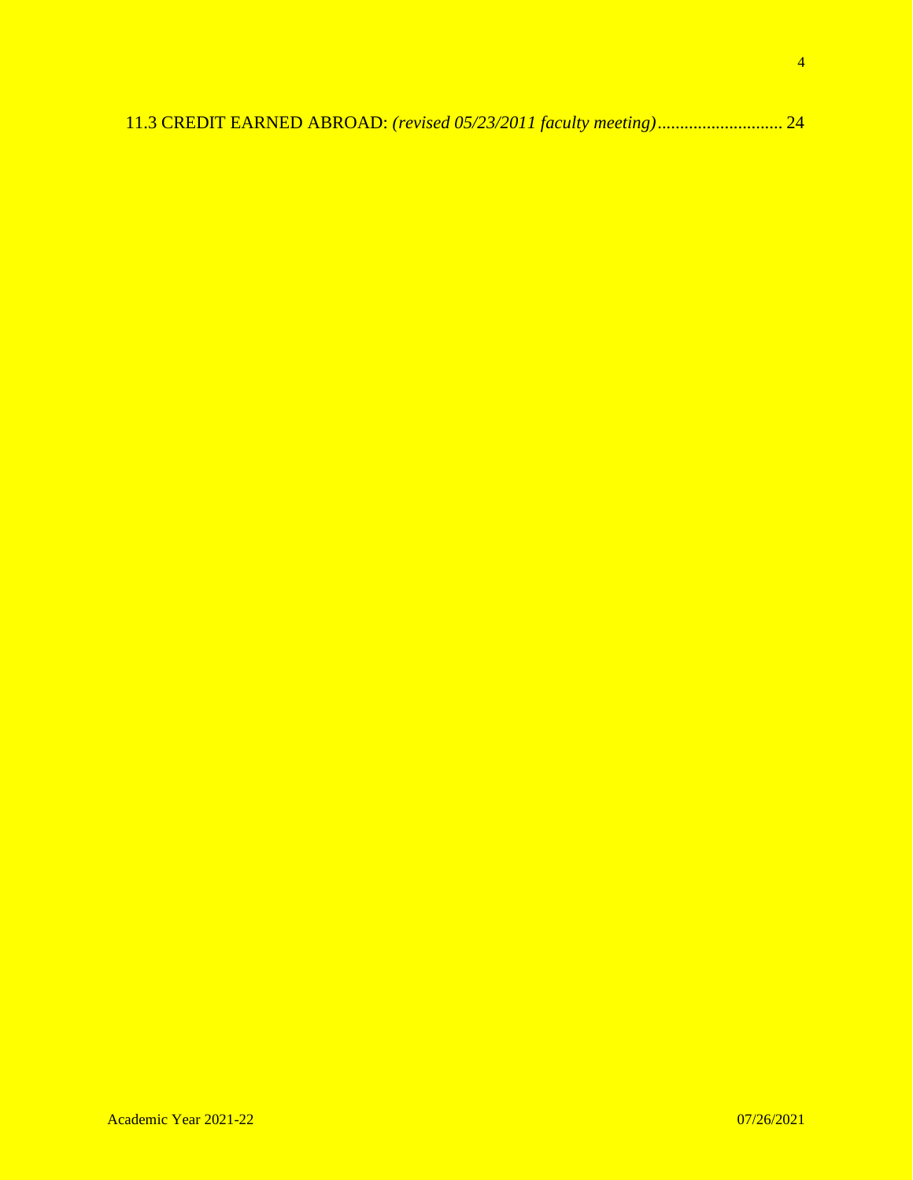|--|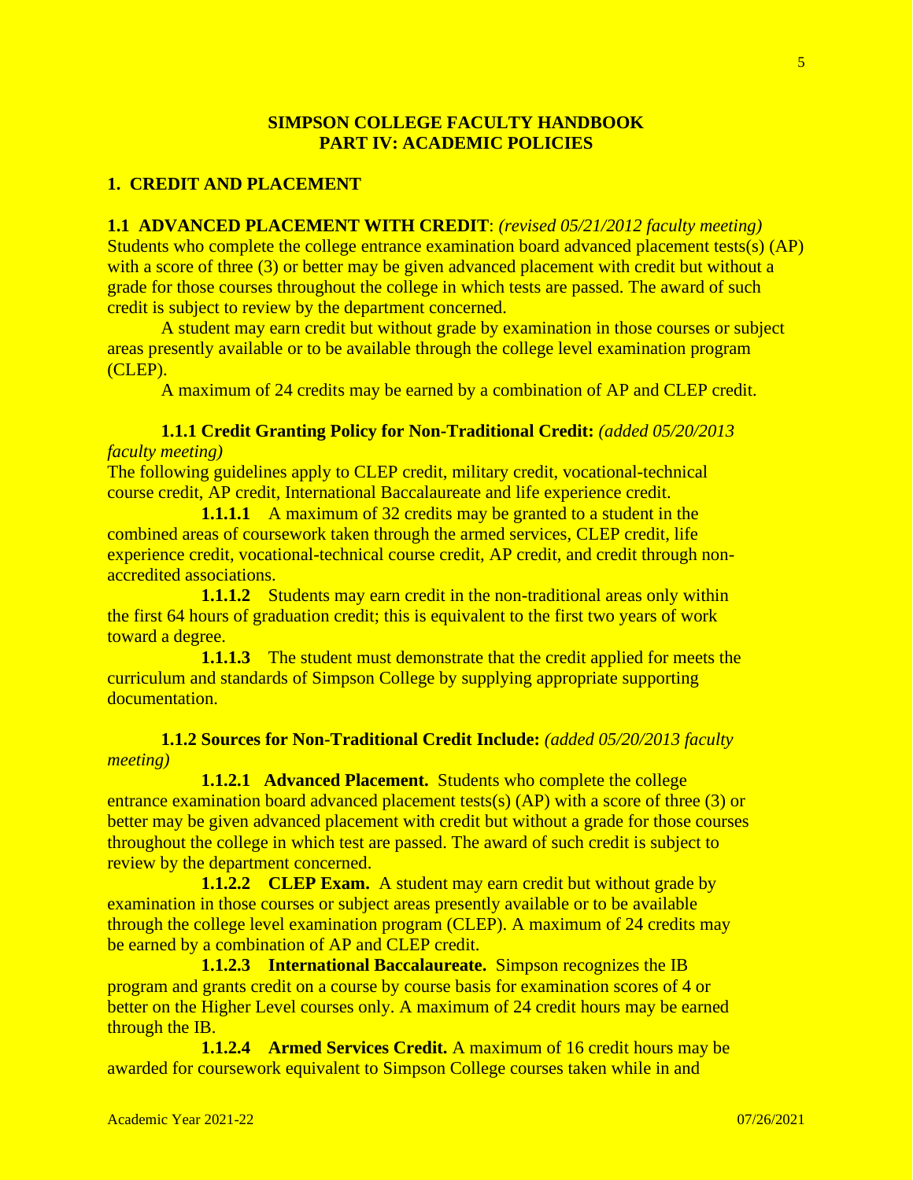## **SIMPSON COLLEGE FACULTY HANDBOOK PART IV: ACADEMIC POLICIES**

## **1. CREDIT AND PLACEMENT**

**1.1 ADVANCED PLACEMENT WITH CREDIT**: *(revised 05/21/2012 faculty meeting)* Students who complete the college entrance examination board advanced placement tests(s) (AP) with a score of three (3) or better may be given advanced placement with credit but without a grade for those courses throughout the college in which tests are passed. The award of such credit is subject to review by the department concerned.

A student may earn credit but without grade by examination in those courses or subject areas presently available or to be available through the college level examination program (CLEP).

A maximum of 24 credits may be earned by a combination of AP and CLEP credit.

## **1.1.1 Credit Granting Policy for Non-Traditional Credit:** *(added 05/20/2013*

### *faculty meeting)*

The following guidelines apply to CLEP credit, military credit, vocational-technical course credit, AP credit, International Baccalaureate and life experience credit.

**1.1.1.1** A maximum of 32 credits may be granted to a student in the combined areas of coursework taken through the armed services, CLEP credit, life experience credit, vocational-technical course credit, AP credit, and credit through nonaccredited associations.

**1.1.1.2** Students may earn credit in the non-traditional areas only within the first 64 hours of graduation credit; this is equivalent to the first two years of work toward a degree.

**1.1.1.3** The student must demonstrate that the credit applied for meets the curriculum and standards of Simpson College by supplying appropriate supporting documentation.

## **1.1.2 Sources for Non-Traditional Credit Include:** *(added 05/20/2013 faculty meeting)*

**1.1.2.1 Advanced Placement.** Students who complete the college entrance examination board advanced placement tests(s) (AP) with a score of three (3) or better may be given advanced placement with credit but without a grade for those courses throughout the college in which test are passed. The award of such credit is subject to review by the department concerned.

**1.1.2.2 CLEP Exam.** A student may earn credit but without grade by examination in those courses or subject areas presently available or to be available through the college level examination program (CLEP). A maximum of 24 credits may be earned by a combination of AP and CLEP credit.

**1.1.2.3 International Baccalaureate.** Simpson recognizes the IB program and grants credit on a course by course basis for examination scores of 4 or better on the Higher Level courses only. A maximum of 24 credit hours may be earned through the IB.

**1.1.2.4 Armed Services Credit.** A maximum of 16 credit hours may be awarded for coursework equivalent to Simpson College courses taken while in and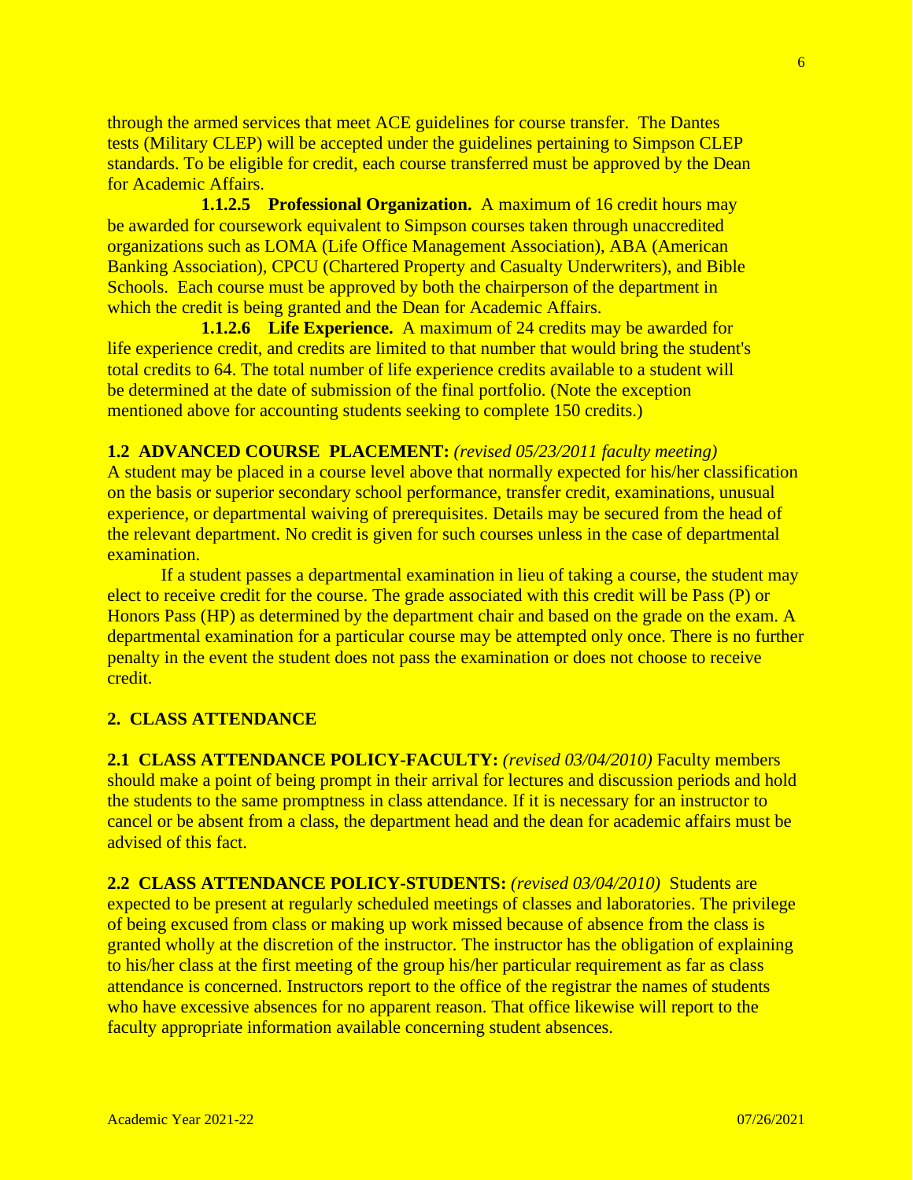through the armed services that meet ACE guidelines for course transfer. The Dantes tests (Military CLEP) will be accepted under the guidelines pertaining to Simpson CLEP standards. To be eligible for credit, each course transferred must be approved by the Dean for Academic Affairs.

**1.1.2.5 Professional Organization.** A maximum of 16 credit hours may be awarded for coursework equivalent to Simpson courses taken through unaccredited organizations such as LOMA (Life Office Management Association), ABA (American Banking Association), CPCU (Chartered Property and Casualty Underwriters), and Bible Schools. Each course must be approved by both the chairperson of the department in which the credit is being granted and the Dean for Academic Affairs.

**1.1.2.6 Life Experience.** A maximum of 24 credits may be awarded for life experience credit, and credits are limited to that number that would bring the student's total credits to 64. The total number of life experience credits available to a student will be determined at the date of submission of the final portfolio. (Note the exception mentioned above for accounting students seeking to complete 150 credits.)

### **1.2 ADVANCED COURSE PLACEMENT:** *(revised 05/23/2011 faculty meeting)*

A student may be placed in a course level above that normally expected for his/her classification on the basis or superior secondary school performance, transfer credit, examinations, unusual experience, or departmental waiving of prerequisites. Details may be secured from the head of the relevant department. No credit is given for such courses unless in the case of departmental examination.

If a student passes a departmental examination in lieu of taking a course, the student may elect to receive credit for the course. The grade associated with this credit will be Pass (P) or Honors Pass (HP) as determined by the department chair and based on the grade on the exam. A departmental examination for a particular course may be attempted only once. There is no further penalty in the event the student does not pass the examination or does not choose to receive credit.

### **2. CLASS ATTENDANCE**

**2.1 CLASS ATTENDANCE POLICY-FACULTY:** *(revised 03/04/2010)* Faculty members should make a point of being prompt in their arrival for lectures and discussion periods and hold the students to the same promptness in class attendance. If it is necessary for an instructor to cancel or be absent from a class, the department head and the dean for academic affairs must be advised of this fact.

**2.2 CLASS ATTENDANCE POLICY-STUDENTS:** *(revised 03/04/2010)* Students are expected to be present at regularly scheduled meetings of classes and laboratories. The privilege of being excused from class or making up work missed because of absence from the class is granted wholly at the discretion of the instructor. The instructor has the obligation of explaining to his/her class at the first meeting of the group his/her particular requirement as far as class attendance is concerned. Instructors report to the office of the registrar the names of students who have excessive absences for no apparent reason. That office likewise will report to the faculty appropriate information available concerning student absences.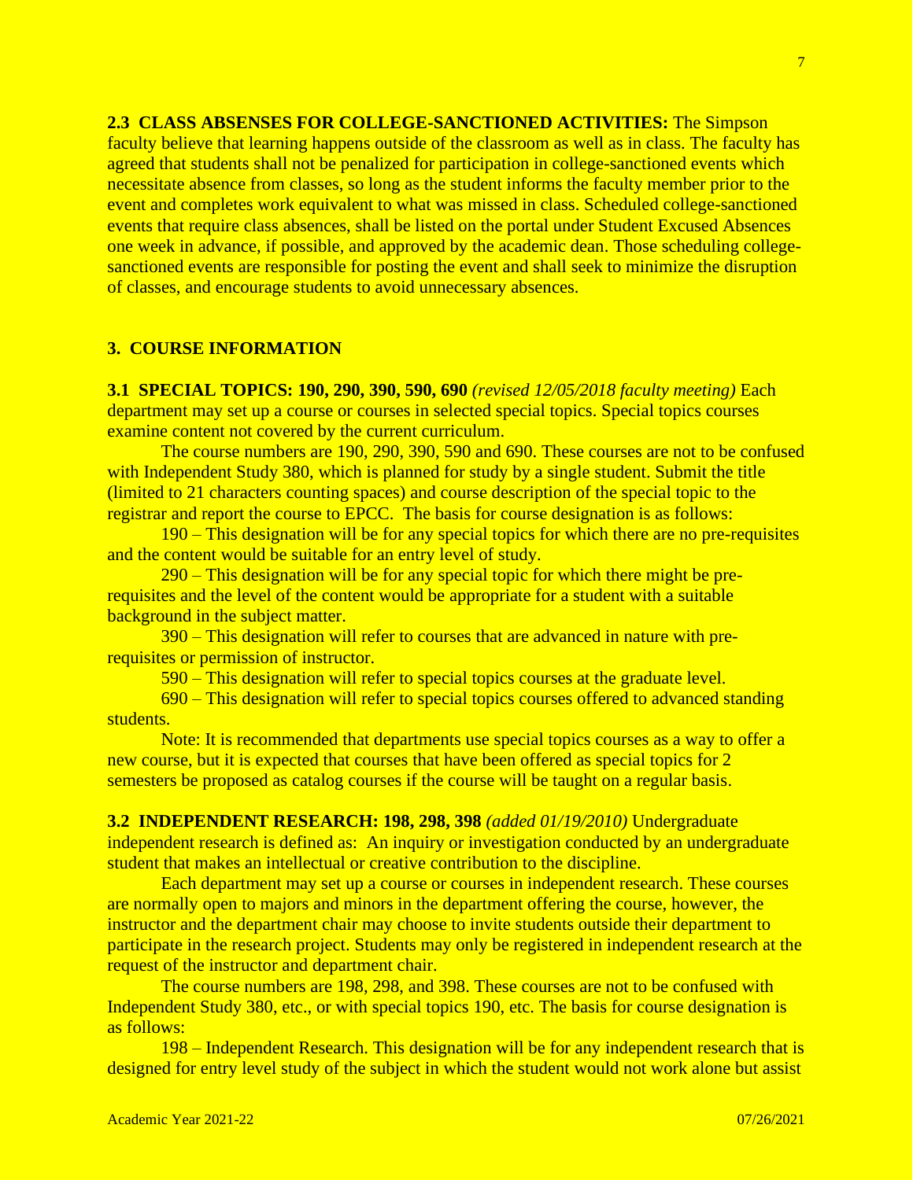**2.3 CLASS ABSENSES FOR COLLEGE-SANCTIONED ACTIVITIES:** The Simpson faculty believe that learning happens outside of the classroom as well as in class. The faculty has agreed that students shall not be penalized for participation in college-sanctioned events which necessitate absence from classes, so long as the student informs the faculty member prior to the event and completes work equivalent to what was missed in class. Scheduled college-sanctioned events that require class absences, shall be listed on the portal under Student Excused Absences one week in advance, if possible, and approved by the academic dean. Those scheduling collegesanctioned events are responsible for posting the event and shall seek to minimize the disruption of classes, and encourage students to avoid unnecessary absences.

### **3. COURSE INFORMATION**

**3.1 SPECIAL TOPICS: 190, 290, 390, 590, 690** *(revised 12/05/2018 faculty meeting)* Each department may set up a course or courses in selected special topics. Special topics courses examine content not covered by the current curriculum.

The course numbers are 190, 290, 390, 590 and 690. These courses are not to be confused with Independent Study 380, which is planned for study by a single student. Submit the title (limited to 21 characters counting spaces) and course description of the special topic to the registrar and report the course to EPCC. The basis for course designation is as follows:

190 – This designation will be for any special topics for which there are no pre-requisites and the content would be suitable for an entry level of study.

290 – This designation will be for any special topic for which there might be prerequisites and the level of the content would be appropriate for a student with a suitable background in the subject matter.

390 – This designation will refer to courses that are advanced in nature with prerequisites or permission of instructor.

590 – This designation will refer to special topics courses at the graduate level.

690 – This designation will refer to special topics courses offered to advanced standing students.

Note: It is recommended that departments use special topics courses as a way to offer a new course, but it is expected that courses that have been offered as special topics for 2 semesters be proposed as catalog courses if the course will be taught on a regular basis.

**3.2 INDEPENDENT RESEARCH: 198, 298, 398** *(added 01/19/2010)* Undergraduate independent research is defined as: An inquiry or investigation conducted by an undergraduate student that makes an intellectual or creative contribution to the discipline.

Each department may set up a course or courses in independent research. These courses are normally open to majors and minors in the department offering the course, however, the instructor and the department chair may choose to invite students outside their department to participate in the research project. Students may only be registered in independent research at the request of the instructor and department chair.

The course numbers are 198, 298, and 398. These courses are not to be confused with Independent Study 380, etc., or with special topics 190, etc. The basis for course designation is as follows:

198 – Independent Research. This designation will be for any independent research that is designed for entry level study of the subject in which the student would not work alone but assist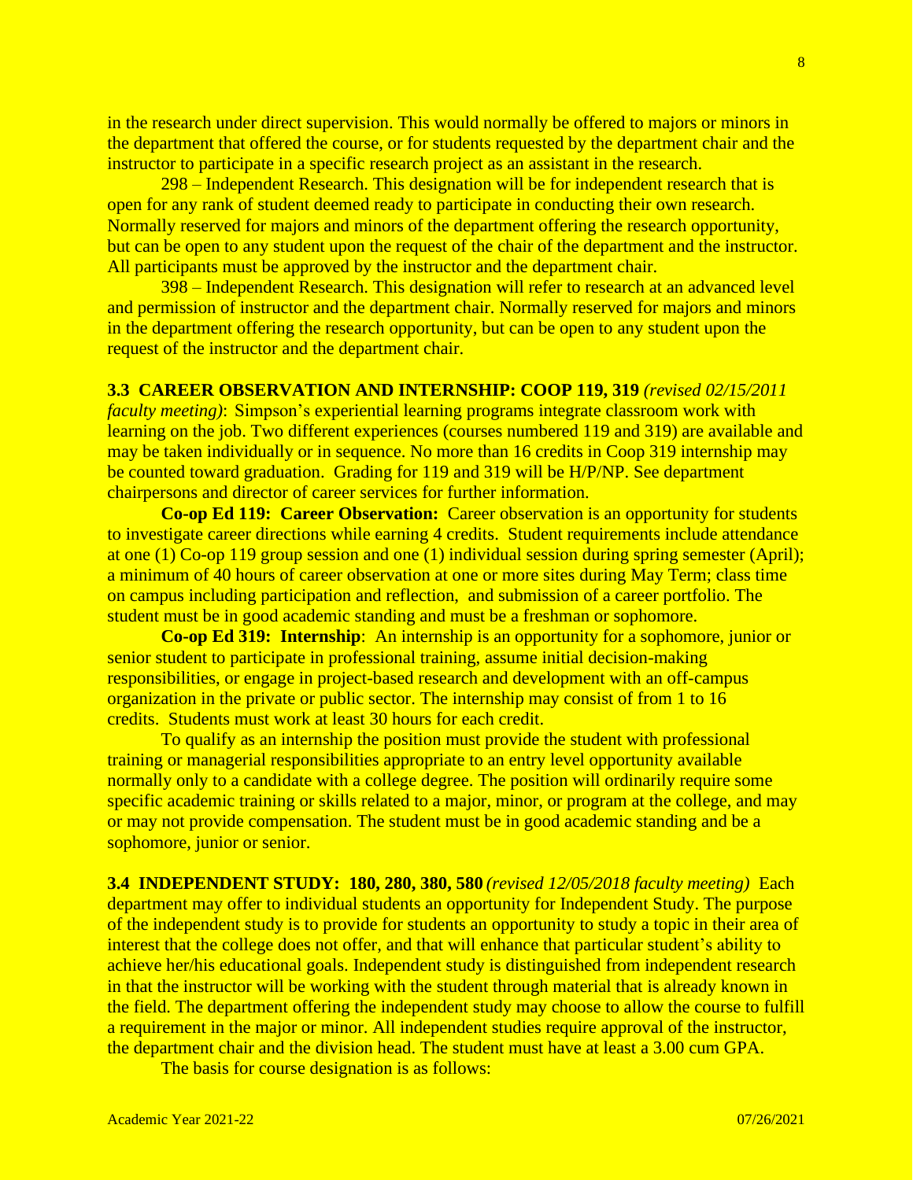in the research under direct supervision. This would normally be offered to majors or minors in the department that offered the course, or for students requested by the department chair and the instructor to participate in a specific research project as an assistant in the research.

298 – Independent Research. This designation will be for independent research that is open for any rank of student deemed ready to participate in conducting their own research. Normally reserved for majors and minors of the department offering the research opportunity, but can be open to any student upon the request of the chair of the department and the instructor. All participants must be approved by the instructor and the department chair.

398 – Independent Research. This designation will refer to research at an advanced level and permission of instructor and the department chair. Normally reserved for majors and minors in the department offering the research opportunity, but can be open to any student upon the request of the instructor and the department chair.

### **3.3 CAREER OBSERVATION AND INTERNSHIP: COOP 119, 319** *(revised 02/15/2011*

*faculty meeting)*: Simpson's experiential learning programs integrate classroom work with learning on the job. Two different experiences (courses numbered 119 and 319) are available and may be taken individually or in sequence. No more than 16 credits in Coop 319 internship may be counted toward graduation. Grading for 119 and 319 will be H/P/NP. See department chairpersons and director of career services for further information.

**Co-op Ed 119: Career Observation:** Career observation is an opportunity for students to investigate career directions while earning 4 credits. Student requirements include attendance at one (1) Co-op 119 group session and one (1) individual session during spring semester (April); a minimum of 40 hours of career observation at one or more sites during May Term; class time on campus including participation and reflection, and submission of a career portfolio. The student must be in good academic standing and must be a freshman or sophomore.

**Co-op Ed 319: Internship**: An internship is an opportunity for a sophomore, junior or senior student to participate in professional training, assume initial decision-making responsibilities, or engage in project-based research and development with an off-campus organization in the private or public sector. The internship may consist of from 1 to 16 credits. Students must work at least 30 hours for each credit.

To qualify as an internship the position must provide the student with professional training or managerial responsibilities appropriate to an entry level opportunity available normally only to a candidate with a college degree. The position will ordinarily require some specific academic training or skills related to a major, minor, or program at the college, and may or may not provide compensation. The student must be in good academic standing and be a sophomore, junior or senior.

**3.4 INDEPENDENT STUDY: 180, 280, 380, 580** *(revised 12/05/2018 faculty meeting)*Each department may offer to individual students an opportunity for Independent Study. The purpose of the independent study is to provide for students an opportunity to study a topic in their area of interest that the college does not offer, and that will enhance that particular student's ability to achieve her/his educational goals. Independent study is distinguished from independent research in that the instructor will be working with the student through material that is already known in the field. The department offering the independent study may choose to allow the course to fulfill a requirement in the major or minor. All independent studies require approval of the instructor, the department chair and the division head. The student must have at least a 3.00 cum GPA.

The basis for course designation is as follows: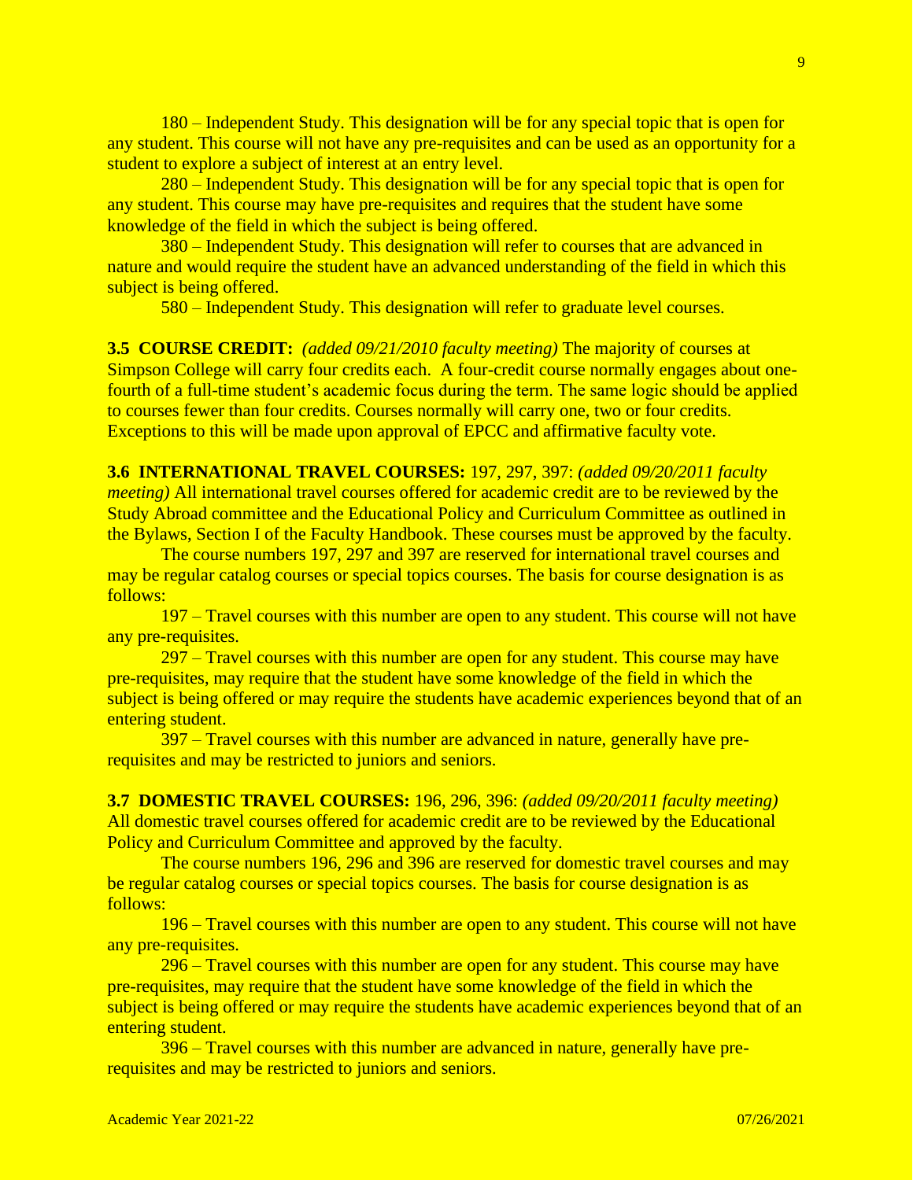180 – Independent Study. This designation will be for any special topic that is open for any student. This course will not have any pre-requisites and can be used as an opportunity for a student to explore a subject of interest at an entry level.

280 – Independent Study. This designation will be for any special topic that is open for any student. This course may have pre-requisites and requires that the student have some knowledge of the field in which the subject is being offered.

380 – Independent Study. This designation will refer to courses that are advanced in nature and would require the student have an advanced understanding of the field in which this subject is being offered.

580 – Independent Study. This designation will refer to graduate level courses.

**3.5 COURSE CREDIT:** *(added 09/21/2010 faculty meeting)* The majority of courses at Simpson College will carry four credits each. A four-credit course normally engages about onefourth of a full-time student's academic focus during the term. The same logic should be applied to courses fewer than four credits. Courses normally will carry one, two or four credits. Exceptions to this will be made upon approval of EPCC and affirmative faculty vote.

**3.6 INTERNATIONAL TRAVEL COURSES:** 197, 297, 397: *(added 09/20/2011 faculty meeting)* All international travel courses offered for academic credit are to be reviewed by the Study Abroad committee and the Educational Policy and Curriculum Committee as outlined in the Bylaws, Section I of the Faculty Handbook. These courses must be approved by the faculty.

The course numbers 197, 297 and 397 are reserved for international travel courses and may be regular catalog courses or special topics courses. The basis for course designation is as follows:

 197 – Travel courses with this number are open to any student. This course will not have any pre-requisites.

297 – Travel courses with this number are open for any student. This course may have pre-requisites, may require that the student have some knowledge of the field in which the subject is being offered or may require the students have academic experiences beyond that of an entering student.

397 – Travel courses with this number are advanced in nature, generally have prerequisites and may be restricted to juniors and seniors.

**3.7 DOMESTIC TRAVEL COURSES:** 196, 296, 396: *(added 09/20/2011 faculty meeting)* All domestic travel courses offered for academic credit are to be reviewed by the Educational Policy and Curriculum Committee and approved by the faculty.

The course numbers 196, 296 and 396 are reserved for domestic travel courses and may be regular catalog courses or special topics courses. The basis for course designation is as follows:

 196 – Travel courses with this number are open to any student. This course will not have any pre-requisites.

296 – Travel courses with this number are open for any student. This course may have pre-requisites, may require that the student have some knowledge of the field in which the subject is being offered or may require the students have academic experiences beyond that of an entering student.

396 – Travel courses with this number are advanced in nature, generally have prerequisites and may be restricted to juniors and seniors.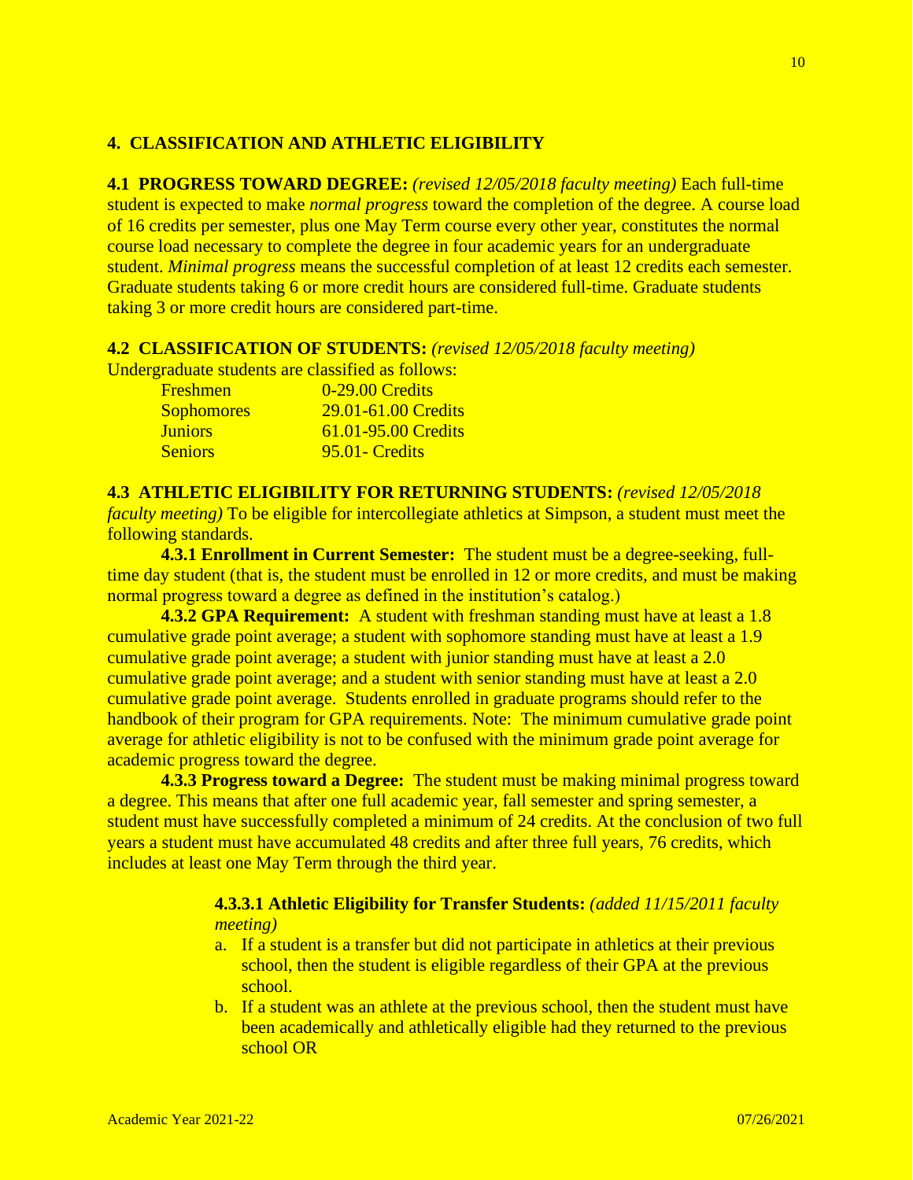## **4. CLASSIFICATION AND ATHLETIC ELIGIBILITY**

**4.1 PROGRESS TOWARD DEGREE:** *(revised 12/05/2018 faculty meeting)* Each full-time student is expected to make *normal progress* toward the completion of the degree. A course load of 16 credits per semester, plus one May Term course every other year, constitutes the normal course load necessary to complete the degree in four academic years for an undergraduate student. *Minimal progress* means the successful completion of at least 12 credits each semester. Graduate students taking 6 or more credit hours are considered full-time. Graduate students taking 3 or more credit hours are considered part-time.

### **4.2 CLASSIFICATION OF STUDENTS:** *(revised 12/05/2018 faculty meeting)*

Undergraduate students are classified as follows:

Freshmen 0-29.00 Credits Sophomores 29.01-61.00 Credits Juniors 61.01-95.00 Credits Seniors 95.01- Credits

### **4.3 ATHLETIC ELIGIBILITY FOR RETURNING STUDENTS:** *(revised 12/05/2018*

*faculty meeting)* To be eligible for intercollegiate athletics at Simpson, a student must meet the following standards.

**4.3.1 Enrollment in Current Semester:** The student must be a degree-seeking, fulltime day student (that is, the student must be enrolled in 12 or more credits, and must be making normal progress toward a degree as defined in the institution's catalog.)

**4.3.2 GPA Requirement:** A student with freshman standing must have at least a 1.8 cumulative grade point average; a student with sophomore standing must have at least a 1.9 cumulative grade point average; a student with junior standing must have at least a 2.0 cumulative grade point average; and a student with senior standing must have at least a 2.0 cumulative grade point average. Students enrolled in graduate programs should refer to the handbook of their program for GPA requirements. Note: The minimum cumulative grade point average for athletic eligibility is not to be confused with the minimum grade point average for academic progress toward the degree.

**4.3.3 Progress toward a Degree:** The student must be making minimal progress toward a degree. This means that after one full academic year, fall semester and spring semester, a student must have successfully completed a minimum of 24 credits. At the conclusion of two full years a student must have accumulated 48 credits and after three full years, 76 credits, which includes at least one May Term through the third year.

# **4.3.3.1 Athletic Eligibility for Transfer Students:** *(added 11/15/2011 faculty meeting)*

- a. If a student is a transfer but did not participate in athletics at their previous school, then the student is eligible regardless of their GPA at the previous school.
- b. If a student was an athlete at the previous school, then the student must have been academically and athletically eligible had they returned to the previous school OR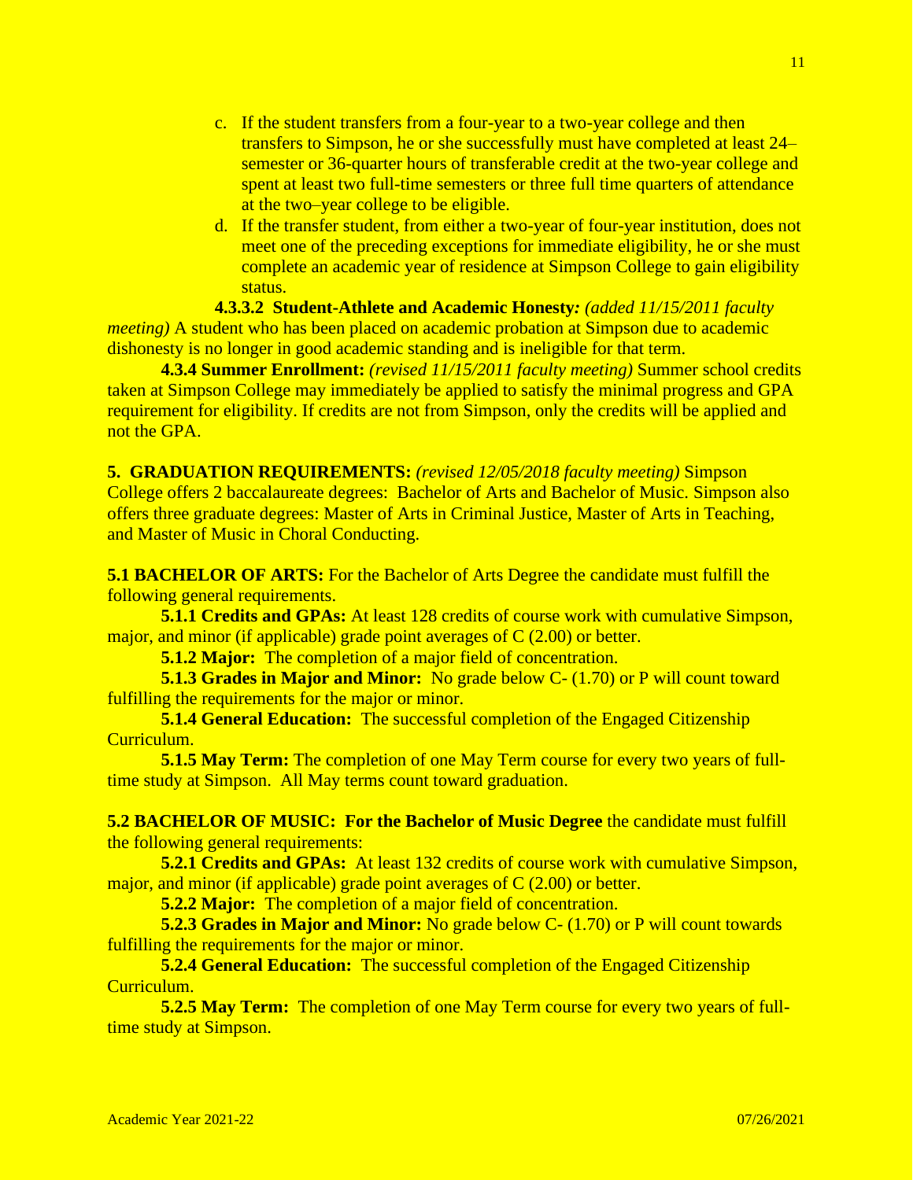- c. If the student transfers from a four-year to a two-year college and then transfers to Simpson, he or she successfully must have completed at least 24– semester or 36-quarter hours of transferable credit at the two-year college and spent at least two full-time semesters or three full time quarters of attendance at the two–year college to be eligible.
- d. If the transfer student, from either a two-year of four-year institution, does not meet one of the preceding exceptions for immediate eligibility, he or she must complete an academic year of residence at Simpson College to gain eligibility status.

**4.3.3.2 Student-Athlete and Academic Honesty***: (added 11/15/2011 faculty meeting*) A student who has been placed on academic probation at Simpson due to academic dishonesty is no longer in good academic standing and is ineligible for that term.

**4.3.4 Summer Enrollment:** *(revised 11/15/2011 faculty meeting)* Summer school credits taken at Simpson College may immediately be applied to satisfy the minimal progress and GPA requirement for eligibility. If credits are not from Simpson, only the credits will be applied and not the GPA.

**5. GRADUATION REQUIREMENTS:** *(revised 12/05/2018 faculty meeting)* Simpson College offers 2 baccalaureate degrees: Bachelor of Arts and Bachelor of Music. Simpson also offers three graduate degrees: Master of Arts in Criminal Justice, Master of Arts in Teaching, and Master of Music in Choral Conducting.

**5.1 BACHELOR OF ARTS:** For the Bachelor of Arts Degree the candidate must fulfill the following general requirements.

**5.1.1 Credits and GPAs:** At least 128 credits of course work with cumulative Simpson, major, and minor (if applicable) grade point averages of C (2.00) or better.

**5.1.2 Major:** The completion of a major field of concentration.

**5.1.3 Grades in Major and Minor:** No grade below C- (1.70) or P will count toward fulfilling the requirements for the major or minor.

**5.1.4 General Education:** The successful completion of the Engaged Citizenship Curriculum.

**5.1.5 May Term:** The completion of one May Term course for every two years of fulltime study at Simpson. All May terms count toward graduation.

**5.2 BACHELOR OF MUSIC: For the Bachelor of Music Degree** the candidate must fulfill the following general requirements:

**5.2.1 Credits and GPAs:** At least 132 credits of course work with cumulative Simpson, major, and minor (if applicable) grade point averages of C (2.00) or better.

**5.2.2 Major:** The completion of a major field of concentration.

**5.2.3 Grades in Major and Minor:** No grade below C- (1.70) or P will count towards fulfilling the requirements for the major or minor.

**5.2.4 General Education:** The successful completion of the Engaged Citizenship Curriculum.

**5.2.5 May Term:** The completion of one May Term course for every two years of fulltime study at Simpson.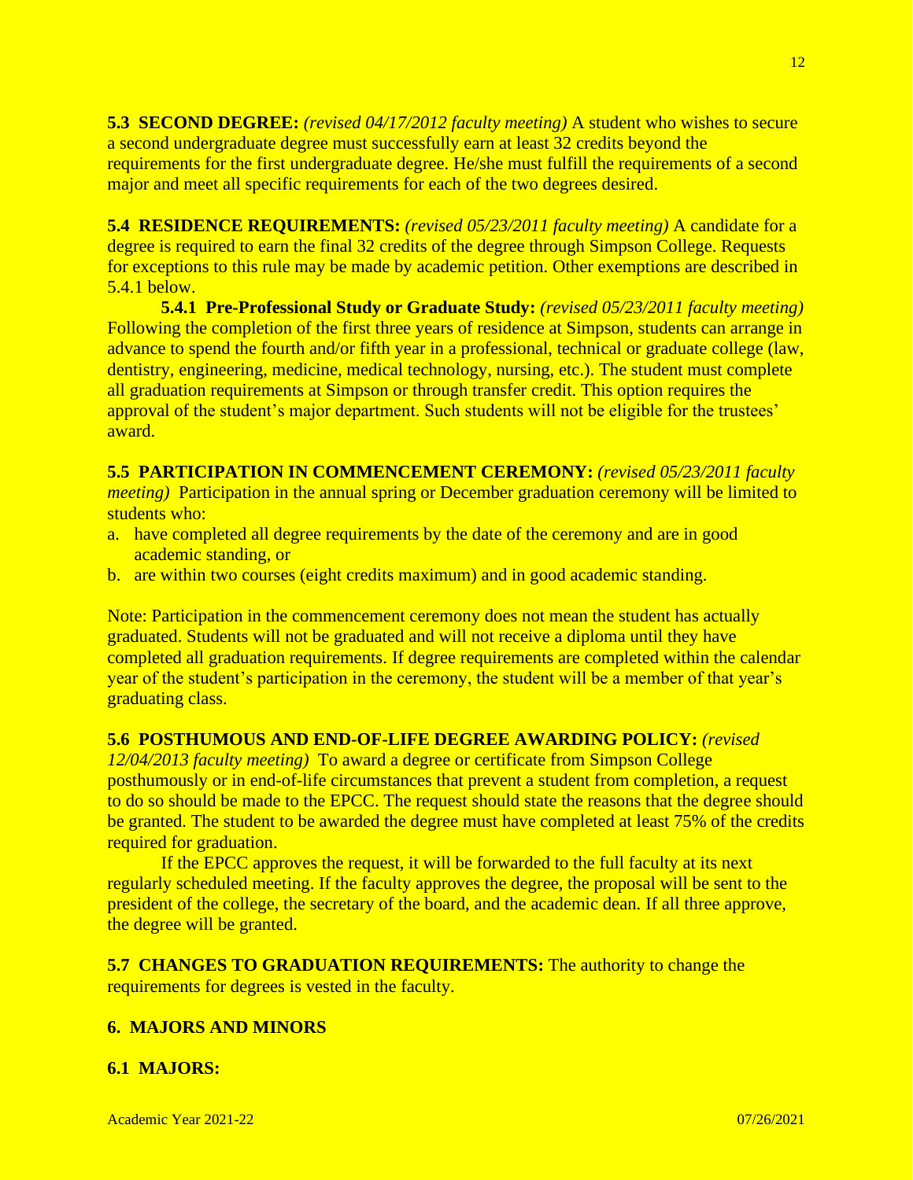**5.3 SECOND DEGREE:** *(revised 04/17/2012 faculty meeting)* A student who wishes to secure a second undergraduate degree must successfully earn at least 32 credits beyond the requirements for the first undergraduate degree. He/she must fulfill the requirements of a second major and meet all specific requirements for each of the two degrees desired.

**5.4 RESIDENCE REQUIREMENTS:** *(revised 05/23/2011 faculty meeting)* A candidate for a degree is required to earn the final 32 credits of the degree through Simpson College. Requests for exceptions to this rule may be made by academic petition. Other exemptions are described in 5.4.1 below.

**5.4.1 Pre-Professional Study or Graduate Study:** *(revised 05/23/2011 faculty meeting)* Following the completion of the first three years of residence at Simpson, students can arrange in advance to spend the fourth and/or fifth year in a professional, technical or graduate college (law, dentistry, engineering, medicine, medical technology, nursing, etc.). The student must complete all graduation requirements at Simpson or through transfer credit. This option requires the approval of the student's major department. Such students will not be eligible for the trustees' award.

**5.5 PARTICIPATION IN COMMENCEMENT CEREMONY:** *(revised 05/23/2011 faculty meeting*) Participation in the annual spring or December graduation ceremony will be limited to students who:

- a. have completed all degree requirements by the date of the ceremony and are in good academic standing, or
- b. are within two courses (eight credits maximum) and in good academic standing.

Note: Participation in the commencement ceremony does not mean the student has actually graduated. Students will not be graduated and will not receive a diploma until they have completed all graduation requirements. If degree requirements are completed within the calendar year of the student's participation in the ceremony, the student will be a member of that year's graduating class.

## **5.6 POSTHUMOUS AND END-OF-LIFE DEGREE AWARDING POLICY:** *(revised*

*12/04/2013 faculty meeting)* To award a degree or certificate from Simpson College posthumously or in end-of-life circumstances that prevent a student from completion, a request to do so should be made to the EPCC. The request should state the reasons that the degree should be granted. The student to be awarded the degree must have completed at least 75% of the credits required for graduation.

If the EPCC approves the request, it will be forwarded to the full faculty at its next regularly scheduled meeting. If the faculty approves the degree, the proposal will be sent to the president of the college, the secretary of the board, and the academic dean. If all three approve, the degree will be granted.

**5.7 CHANGES TO GRADUATION REQUIREMENTS:** The authority to change the requirements for degrees is vested in the faculty.

## **6. MAJORS AND MINORS**

## **6.1 MAJORS:**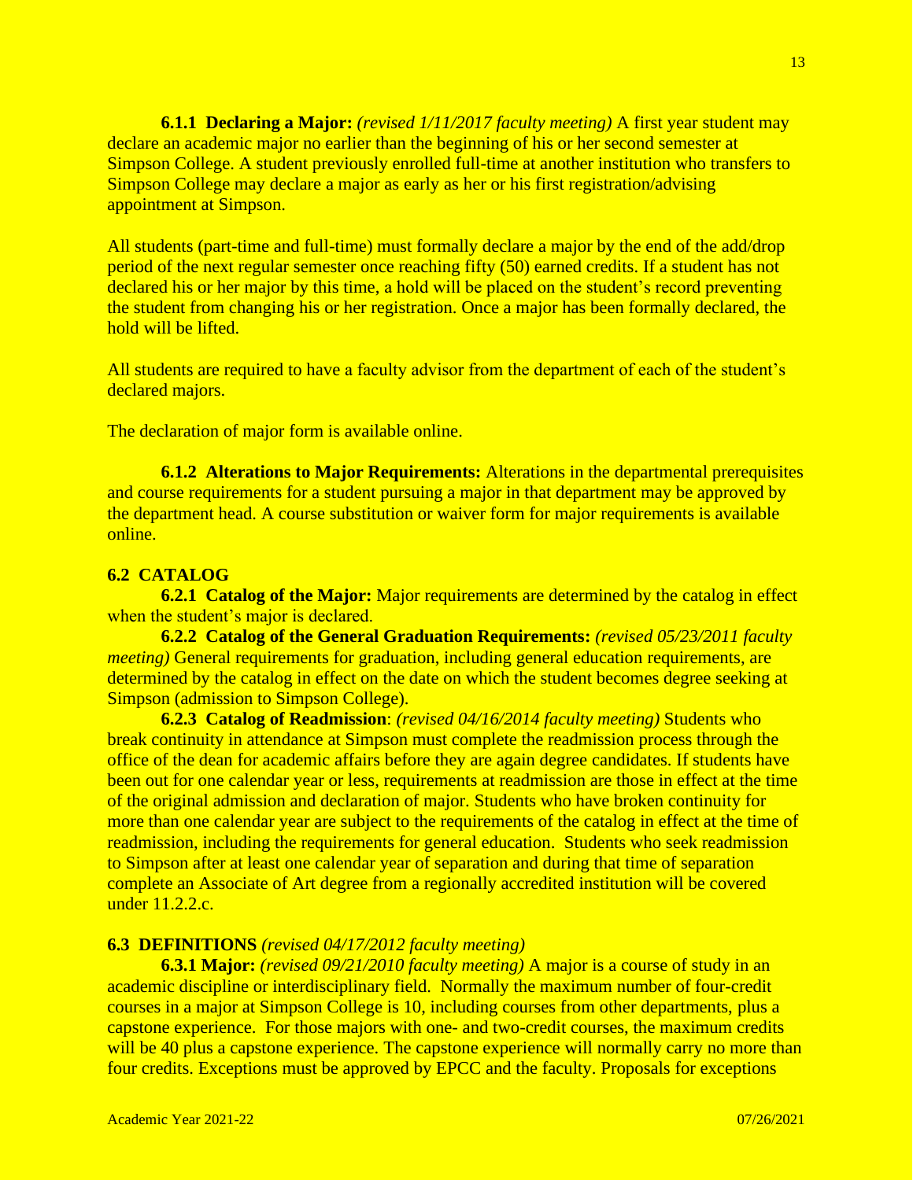**6.1.1 Declaring a Major:** *(revised 1/11/2017 faculty meeting)* A first year student may declare an academic major no earlier than the beginning of his or her second semester at Simpson College. A student previously enrolled full-time at another institution who transfers to Simpson College may declare a major as early as her or his first registration/advising appointment at Simpson.

All students (part-time and full-time) must formally declare a major by the end of the add/drop period of the next regular semester once reaching fifty (50) earned credits. If a student has not declared his or her major by this time, a hold will be placed on the student's record preventing the student from changing his or her registration. Once a major has been formally declared, the hold will be lifted.

All students are required to have a faculty advisor from the department of each of the student's declared majors.

The declaration of major form is available online.

**6.1.2 Alterations to Major Requirements:** Alterations in the departmental prerequisites and course requirements for a student pursuing a major in that department may be approved by the department head. A course substitution or waiver form for major requirements is available online.

### **6.2 CATALOG**

**6.2.1 Catalog of the Major:** Major requirements are determined by the catalog in effect when the student's major is declared.

**6.2.2 Catalog of the General Graduation Requirements:** *(revised 05/23/2011 faculty meeting*) General requirements for graduation, including general education requirements, are determined by the catalog in effect on the date on which the student becomes degree seeking at Simpson (admission to Simpson College).

**6.2.3 Catalog of Readmission**: *(revised 04/16/2014 faculty meeting)* Students who break continuity in attendance at Simpson must complete the readmission process through the office of the dean for academic affairs before they are again degree candidates. If students have been out for one calendar year or less, requirements at readmission are those in effect at the time of the original admission and declaration of major. Students who have broken continuity for more than one calendar year are subject to the requirements of the catalog in effect at the time of readmission, including the requirements for general education. Students who seek readmission to Simpson after at least one calendar year of separation and during that time of separation complete an Associate of Art degree from a regionally accredited institution will be covered under 11.2.2.c.

### **6.3 DEFINITIONS** *(revised 04/17/2012 faculty meeting)*

**6.3.1 Major:** *(revised 09/21/2010 faculty meeting)* A major is a course of study in an academic discipline or interdisciplinary field. Normally the maximum number of four-credit courses in a major at Simpson College is 10, including courses from other departments, plus a capstone experience. For those majors with one- and two-credit courses, the maximum credits will be 40 plus a capstone experience. The capstone experience will normally carry no more than four credits. Exceptions must be approved by EPCC and the faculty. Proposals for exceptions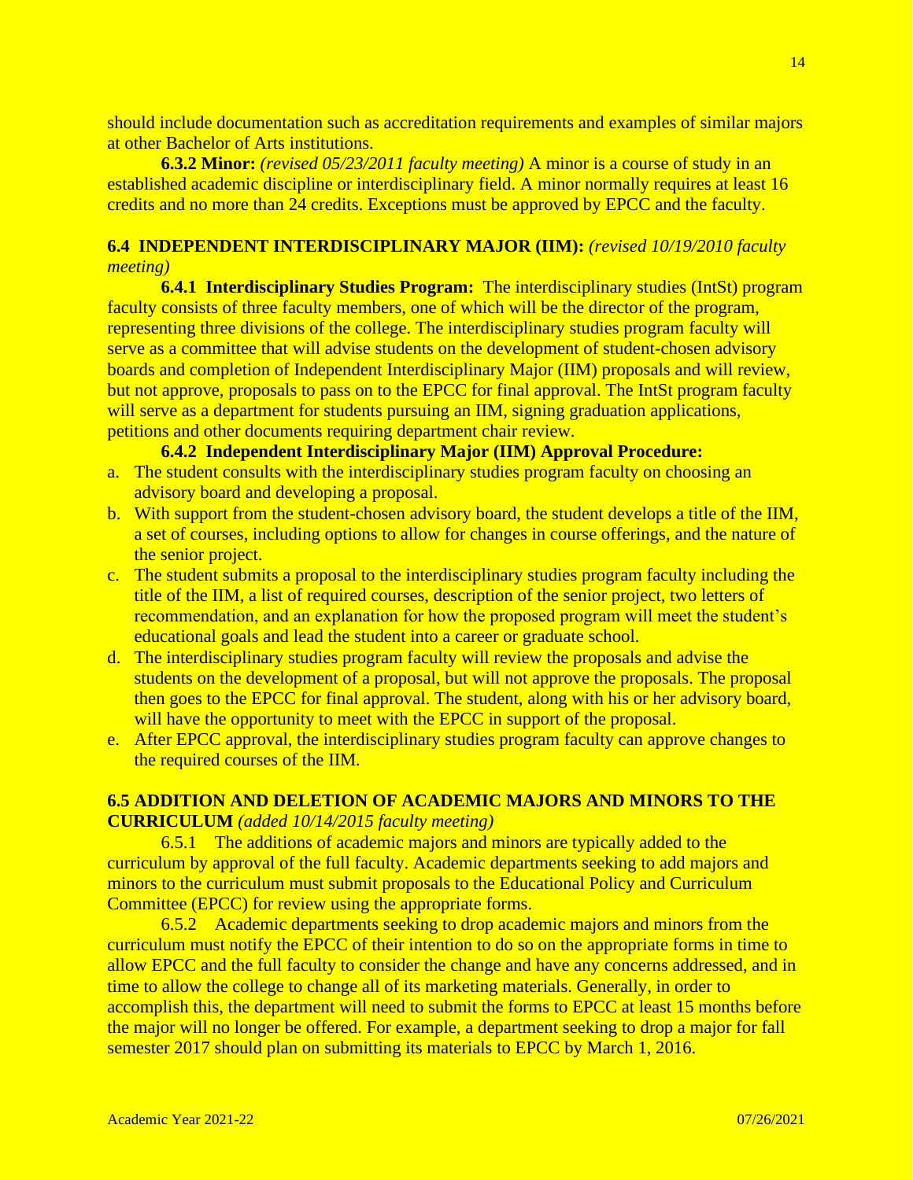should include documentation such as accreditation requirements and examples of similar majors at other Bachelor of Arts institutions.

**6.3.2 Minor:** *(revised 05/23/2011 faculty meeting)* A minor is a course of study in an established academic discipline or interdisciplinary field. A minor normally requires at least 16 credits and no more than 24 credits. Exceptions must be approved by EPCC and the faculty.

# **6.4 INDEPENDENT INTERDISCIPLINARY MAJOR (IIM):** *(revised 10/19/2010 faculty meeting)*

**6.4.1 Interdisciplinary Studies Program:** The interdisciplinary studies (IntSt) program faculty consists of three faculty members, one of which will be the director of the program, representing three divisions of the college. The interdisciplinary studies program faculty will serve as a committee that will advise students on the development of student-chosen advisory boards and completion of Independent Interdisciplinary Major (IIM) proposals and will review, but not approve, proposals to pass on to the EPCC for final approval. The IntSt program faculty will serve as a department for students pursuing an IIM, signing graduation applications, petitions and other documents requiring department chair review.

## **6.4.2 Independent Interdisciplinary Major (IIM) Approval Procedure:**

- a. The student consults with the interdisciplinary studies program faculty on choosing an advisory board and developing a proposal.
- b. With support from the student-chosen advisory board, the student develops a title of the IIM, a set of courses, including options to allow for changes in course offerings, and the nature of the senior project.
- c. The student submits a proposal to the interdisciplinary studies program faculty including the title of the IIM, a list of required courses, description of the senior project, two letters of recommendation, and an explanation for how the proposed program will meet the student's educational goals and lead the student into a career or graduate school.
- d. The interdisciplinary studies program faculty will review the proposals and advise the students on the development of a proposal, but will not approve the proposals. The proposal then goes to the EPCC for final approval. The student, along with his or her advisory board, will have the opportunity to meet with the EPCC in support of the proposal.
- e. After EPCC approval, the interdisciplinary studies program faculty can approve changes to the required courses of the IIM.

# **6.5 ADDITION AND DELETION OF ACADEMIC MAJORS AND MINORS TO THE CURRICULUM** *(added 10/14/2015 faculty meeting)*

6.5.1 The additions of academic majors and minors are typically added to the curriculum by approval of the full faculty. Academic departments seeking to add majors and minors to the curriculum must submit proposals to the Educational Policy and Curriculum Committee (EPCC) for review using the appropriate forms.

6.5.2 Academic departments seeking to drop academic majors and minors from the curriculum must notify the EPCC of their intention to do so on the appropriate forms in time to allow EPCC and the full faculty to consider the change and have any concerns addressed, and in time to allow the college to change all of its marketing materials. Generally, in order to accomplish this, the department will need to submit the forms to EPCC at least 15 months before the major will no longer be offered. For example, a department seeking to drop a major for fall semester 2017 should plan on submitting its materials to EPCC by March 1, 2016.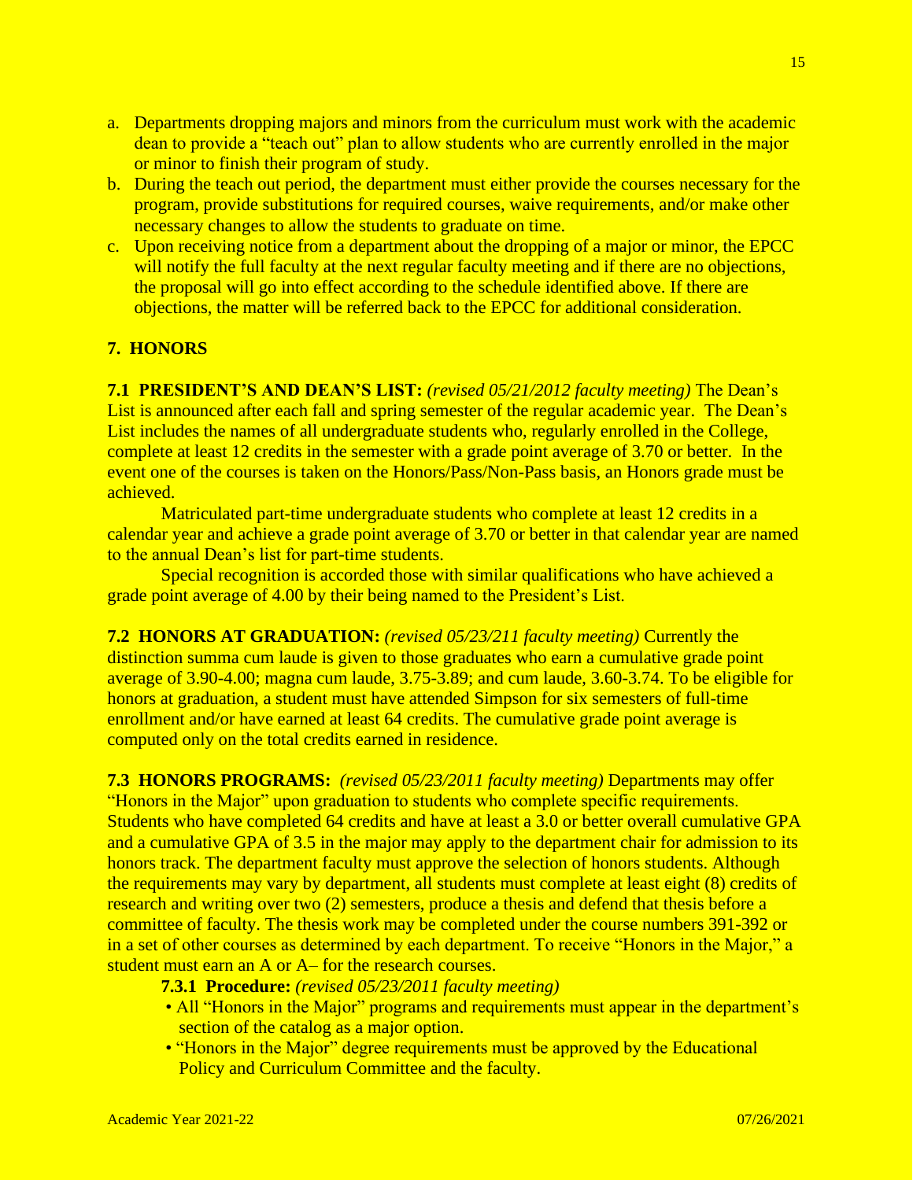- a. Departments dropping majors and minors from the curriculum must work with the academic dean to provide a "teach out" plan to allow students who are currently enrolled in the major or minor to finish their program of study.
- b. During the teach out period, the department must either provide the courses necessary for the program, provide substitutions for required courses, waive requirements, and/or make other necessary changes to allow the students to graduate on time.
- c. Upon receiving notice from a department about the dropping of a major or minor, the EPCC will notify the full faculty at the next regular faculty meeting and if there are no objections, the proposal will go into effect according to the schedule identified above. If there are objections, the matter will be referred back to the EPCC for additional consideration.

# **7. HONORS**

**7.1 PRESIDENT'S AND DEAN'S LIST:** *(revised 05/21/2012 faculty meeting)* The Dean's List is announced after each fall and spring semester of the regular academic year. The Dean's List includes the names of all undergraduate students who, regularly enrolled in the College, complete at least 12 credits in the semester with a grade point average of 3.70 or better. In the event one of the courses is taken on the Honors/Pass/Non-Pass basis, an Honors grade must be achieved.

Matriculated part-time undergraduate students who complete at least 12 credits in a calendar year and achieve a grade point average of 3.70 or better in that calendar year are named to the annual Dean's list for part-time students.

Special recognition is accorded those with similar qualifications who have achieved a grade point average of 4.00 by their being named to the President's List.

**7.2 HONORS AT GRADUATION:** *(revised 05/23/211 faculty meeting)* Currently the distinction summa cum laude is given to those graduates who earn a cumulative grade point average of 3.90-4.00; magna cum laude, 3.75-3.89; and cum laude, 3.60-3.74. To be eligible for honors at graduation, a student must have attended Simpson for six semesters of full-time enrollment and/or have earned at least 64 credits. The cumulative grade point average is computed only on the total credits earned in residence.

**7.3 HONORS PROGRAMS:** *(revised 05/23/2011 faculty meeting)* Departments may offer "Honors in the Major" upon graduation to students who complete specific requirements. Students who have completed 64 credits and have at least a 3.0 or better overall cumulative GPA and a cumulative GPA of 3.5 in the major may apply to the department chair for admission to its honors track. The department faculty must approve the selection of honors students. Although the requirements may vary by department, all students must complete at least eight (8) credits of research and writing over two (2) semesters, produce a thesis and defend that thesis before a committee of faculty. The thesis work may be completed under the course numbers 391-392 or in a set of other courses as determined by each department. To receive "Honors in the Major," a student must earn an A or A– for the research courses.

**7.3.1 Procedure:** *(revised 05/23/2011 faculty meeting)*

- All "Honors in the Major" programs and requirements must appear in the department's section of the catalog as a major option.
- "Honors in the Major" degree requirements must be approved by the Educational Policy and Curriculum Committee and the faculty.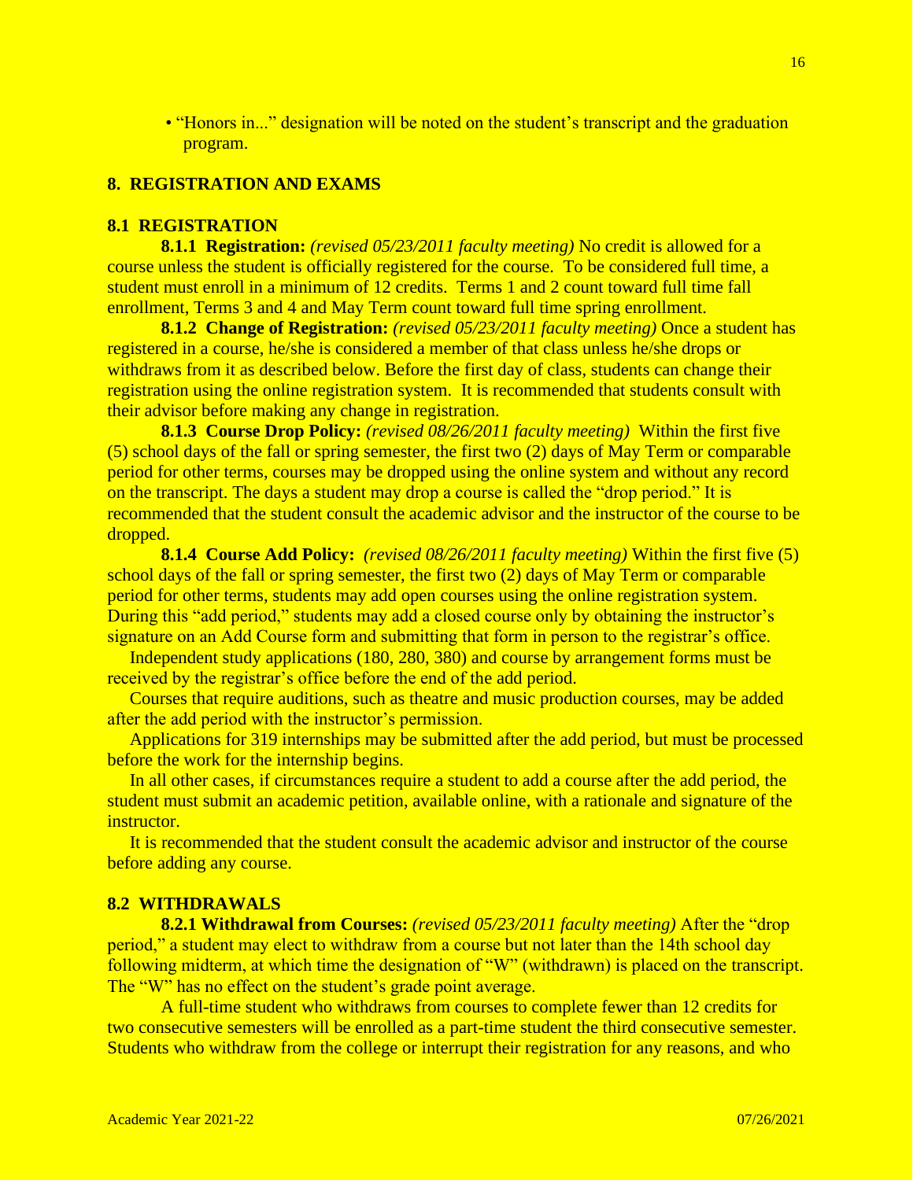• "Honors in..." designation will be noted on the student's transcript and the graduation program.

# **8. REGISTRATION AND EXAMS**

### **8.1 REGISTRATION**

**8.1.1 Registration:** *(revised 05/23/2011 faculty meeting)* No credit is allowed for a course unless the student is officially registered for the course. To be considered full time, a student must enroll in a minimum of 12 credits. Terms 1 and 2 count toward full time fall enrollment, Terms 3 and 4 and May Term count toward full time spring enrollment.

**8.1.2 Change of Registration:** *(revised 05/23/2011 faculty meeting)* Once a student has registered in a course, he/she is considered a member of that class unless he/she drops or withdraws from it as described below. Before the first day of class, students can change their registration using the online registration system. It is recommended that students consult with their advisor before making any change in registration.

**8.1.3 Course Drop Policy:** *(revised 08/26/2011 faculty meeting)*Within the first five (5) school days of the fall or spring semester, the first two (2) days of May Term or comparable period for other terms, courses may be dropped using the online system and without any record on the transcript. The days a student may drop a course is called the "drop period." It is recommended that the student consult the academic advisor and the instructor of the course to be dropped.

**8.1.4 Course Add Policy:** *(revised 08/26/2011 faculty meeting)* Within the first five (5) school days of the fall or spring semester, the first two (2) days of May Term or comparable period for other terms, students may add open courses using the online registration system. During this "add period," students may add a closed course only by obtaining the instructor's signature on an Add Course form and submitting that form in person to the registrar's office.

Independent study applications (180, 280, 380) and course by arrangement forms must be received by the registrar's office before the end of the add period.

 Courses that require auditions, such as theatre and music production courses, may be added after the add period with the instructor's permission.

 Applications for 319 internships may be submitted after the add period, but must be processed before the work for the internship begins.

 In all other cases, if circumstances require a student to add a course after the add period, the student must submit an academic petition, available online, with a rationale and signature of the instructor.

 It is recommended that the student consult the academic advisor and instructor of the course before adding any course.

### **8.2 WITHDRAWALS**

**8.2.1 Withdrawal from Courses:** *(revised 05/23/2011 faculty meeting)* After the "drop period," a student may elect to withdraw from a course but not later than the 14th school day following midterm, at which time the designation of "W" (withdrawn) is placed on the transcript. The "W" has no effect on the student's grade point average.

A full-time student who withdraws from courses to complete fewer than 12 credits for two consecutive semesters will be enrolled as a part-time student the third consecutive semester. Students who withdraw from the college or interrupt their registration for any reasons, and who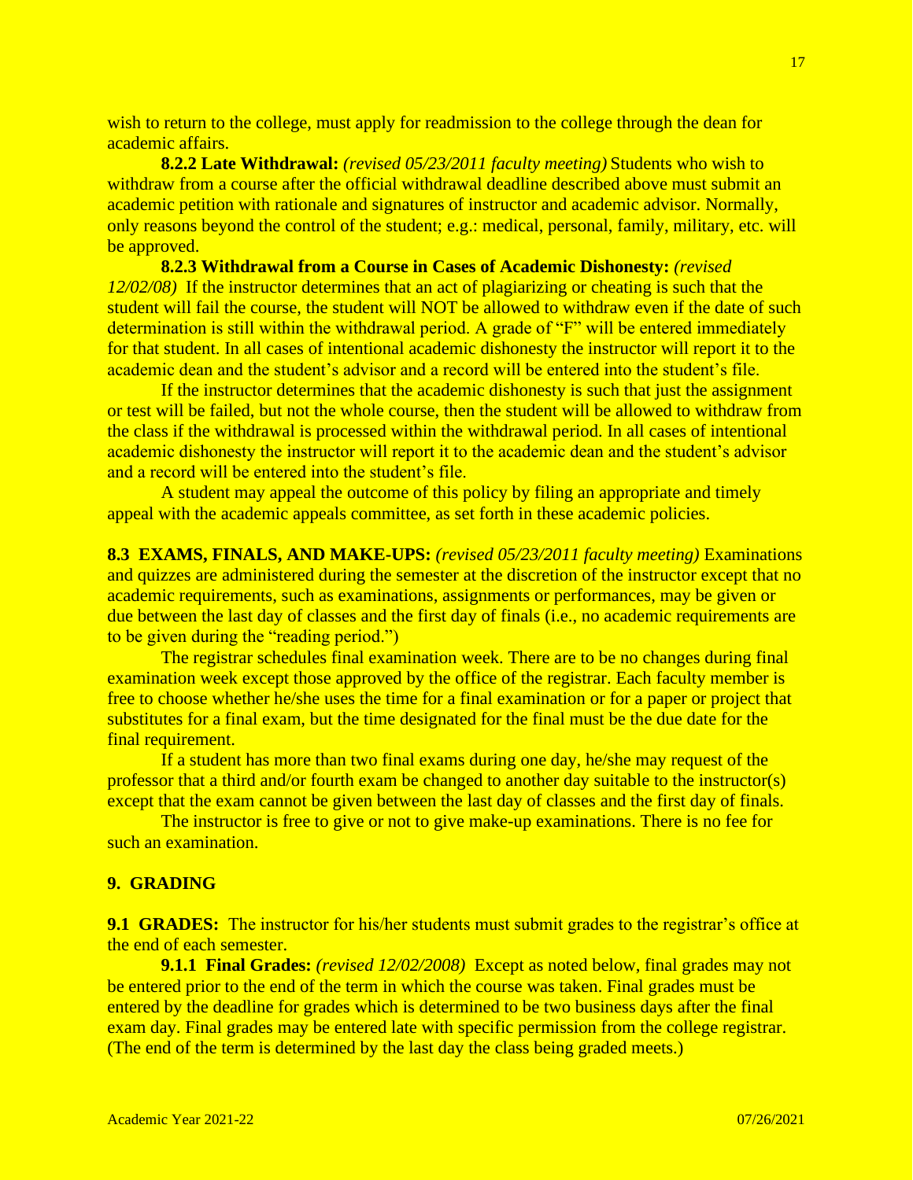wish to return to the college, must apply for readmission to the college through the dean for academic affairs.

**8.2.2 Late Withdrawal:** *(revised 05/23/2011 faculty meeting)* Students who wish to withdraw from a course after the official withdrawal deadline described above must submit an academic petition with rationale and signatures of instructor and academic advisor. Normally, only reasons beyond the control of the student; e.g.: medical, personal, family, military, etc. will be approved.

**8.2.3 Withdrawal from a Course in Cases of Academic Dishonesty:** *(revised 12/02/08)*If the instructor determines that an act of plagiarizing or cheating is such that the student will fail the course, the student will NOT be allowed to withdraw even if the date of such determination is still within the withdrawal period. A grade of "F" will be entered immediately for that student. In all cases of intentional academic dishonesty the instructor will report it to the academic dean and the student's advisor and a record will be entered into the student's file.

If the instructor determines that the academic dishonesty is such that just the assignment or test will be failed, but not the whole course, then the student will be allowed to withdraw from the class if the withdrawal is processed within the withdrawal period. In all cases of intentional academic dishonesty the instructor will report it to the academic dean and the student's advisor and a record will be entered into the student's file.

A student may appeal the outcome of this policy by filing an appropriate and timely appeal with the academic appeals committee, as set forth in these academic policies.

**8.3 EXAMS, FINALS, AND MAKE-UPS:** *(revised 05/23/2011 faculty meeting)* Examinations and quizzes are administered during the semester at the discretion of the instructor except that no academic requirements, such as examinations, assignments or performances, may be given or due between the last day of classes and the first day of finals (i.e., no academic requirements are to be given during the "reading period.")

The registrar schedules final examination week. There are to be no changes during final examination week except those approved by the office of the registrar. Each faculty member is free to choose whether he/she uses the time for a final examination or for a paper or project that substitutes for a final exam, but the time designated for the final must be the due date for the final requirement.

If a student has more than two final exams during one day, he/she may request of the professor that a third and/or fourth exam be changed to another day suitable to the instructor(s) except that the exam cannot be given between the last day of classes and the first day of finals.

The instructor is free to give or not to give make-up examinations. There is no fee for such an examination.

### **9. GRADING**

**9.1 GRADES:** The instructor for his/her students must submit grades to the registrar's office at the end of each semester.

**9.1.1 Final Grades:** *(revised 12/02/2008)*Except as noted below, final grades may not be entered prior to the end of the term in which the course was taken. Final grades must be entered by the deadline for grades which is determined to be two business days after the final exam day. Final grades may be entered late with specific permission from the college registrar. (The end of the term is determined by the last day the class being graded meets.)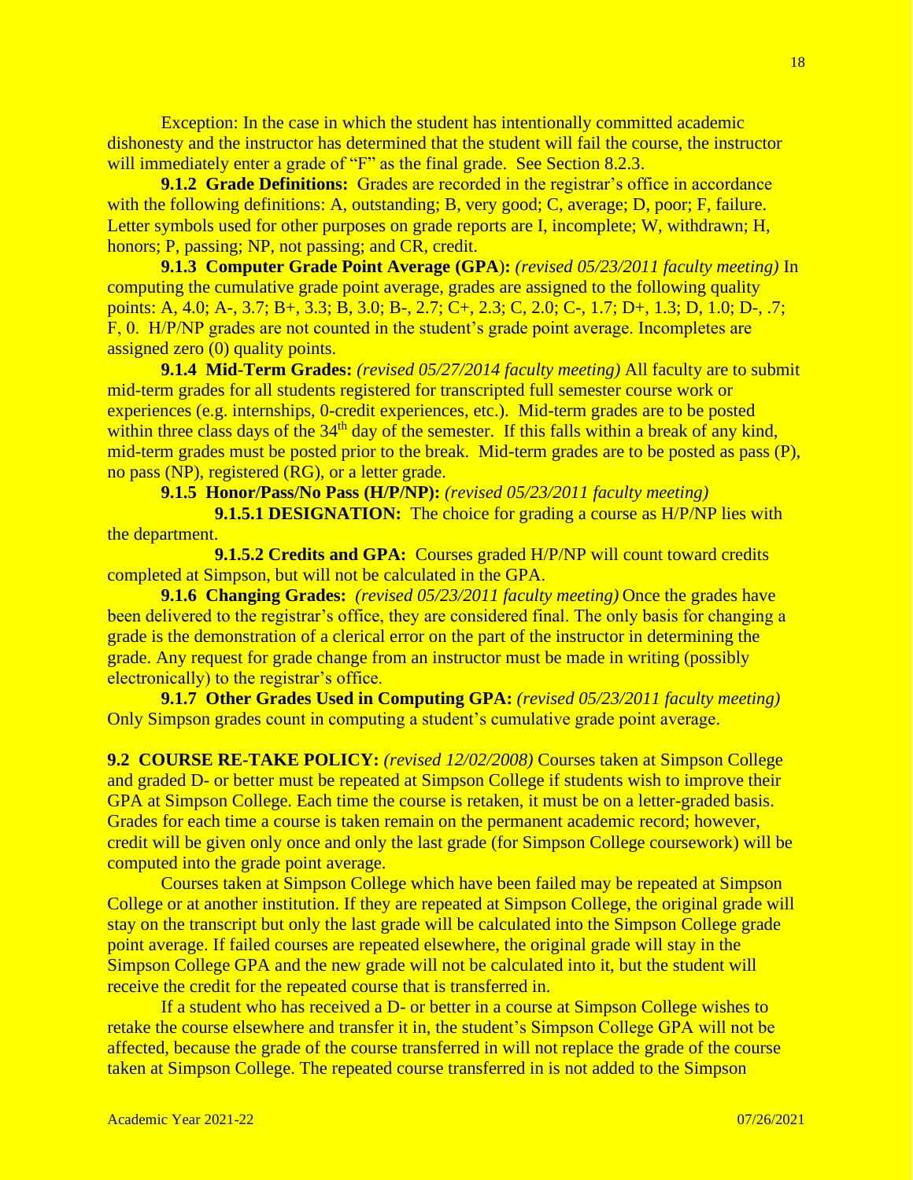Exception: In the case in which the student has intentionally committed academic dishonesty and the instructor has determined that the student will fail the course, the instructor will immediately enter a grade of "F" as the final grade. See Section 8.2.3.

**9.1.2 Grade Definitions:** Grades are recorded in the registrar's office in accordance with the following definitions: A, outstanding; B, very good; C, average; D, poor; F, failure. Letter symbols used for other purposes on grade reports are I, incomplete; W, withdrawn; H, honors; P, passing; NP, not passing; and CR, credit.

**9.1.3 Computer Grade Point Average (GPA**)**:** *(revised 05/23/2011 faculty meeting)* In computing the cumulative grade point average, grades are assigned to the following quality points: A, 4.0; A-, 3.7; B+, 3.3; B, 3.0; B-, 2.7; C+, 2.3; C, 2.0; C-, 1.7; D+, 1.3; D, 1.0; D-, .7; F, 0. H/P/NP grades are not counted in the student's grade point average. Incompletes are assigned zero (0) quality points.

**9.1.4 Mid-Term Grades:** *(revised 05/27/2014 faculty meeting)* All faculty are to submit mid-term grades for all students registered for transcripted full semester course work or experiences (e.g. internships, 0-credit experiences, etc.). Mid-term grades are to be posted within three class days of the  $34<sup>th</sup>$  day of the semester. If this falls within a break of any kind, mid-term grades must be posted prior to the break. Mid-term grades are to be posted as pass (P), no pass (NP), registered (RG), or a letter grade.

**9.1.5 Honor/Pass/No Pass (H/P/NP):** *(revised 05/23/2011 faculty meeting)*

**9.1.5.1 DESIGNATION:** The choice for grading a course as H/P/NP lies with the department.

**9.1.5.2 Credits and GPA:** Courses graded H/P/NP will count toward credits completed at Simpson, but will not be calculated in the GPA.

**9.1.6 Changing Grades:** *(revised 05/23/2011 faculty meeting)* Once the grades have been delivered to the registrar's office, they are considered final. The only basis for changing a grade is the demonstration of a clerical error on the part of the instructor in determining the grade. Any request for grade change from an instructor must be made in writing (possibly electronically) to the registrar's office.

**9.1.7 Other Grades Used in Computing GPA:** *(revised 05/23/2011 faculty meeting)*  Only Simpson grades count in computing a student's cumulative grade point average.

**9.2 COURSE RE-TAKE POLICY:** *(revised 12/02/2008)* Courses taken at Simpson College and graded D- or better must be repeated at Simpson College if students wish to improve their GPA at Simpson College. Each time the course is retaken, it must be on a letter-graded basis. Grades for each time a course is taken remain on the permanent academic record; however, credit will be given only once and only the last grade (for Simpson College coursework) will be computed into the grade point average.

Courses taken at Simpson College which have been failed may be repeated at Simpson College or at another institution. If they are repeated at Simpson College, the original grade will stay on the transcript but only the last grade will be calculated into the Simpson College grade point average. If failed courses are repeated elsewhere, the original grade will stay in the Simpson College GPA and the new grade will not be calculated into it, but the student will receive the credit for the repeated course that is transferred in.

If a student who has received a D- or better in a course at Simpson College wishes to retake the course elsewhere and transfer it in, the student's Simpson College GPA will not be affected, because the grade of the course transferred in will not replace the grade of the course taken at Simpson College. The repeated course transferred in is not added to the Simpson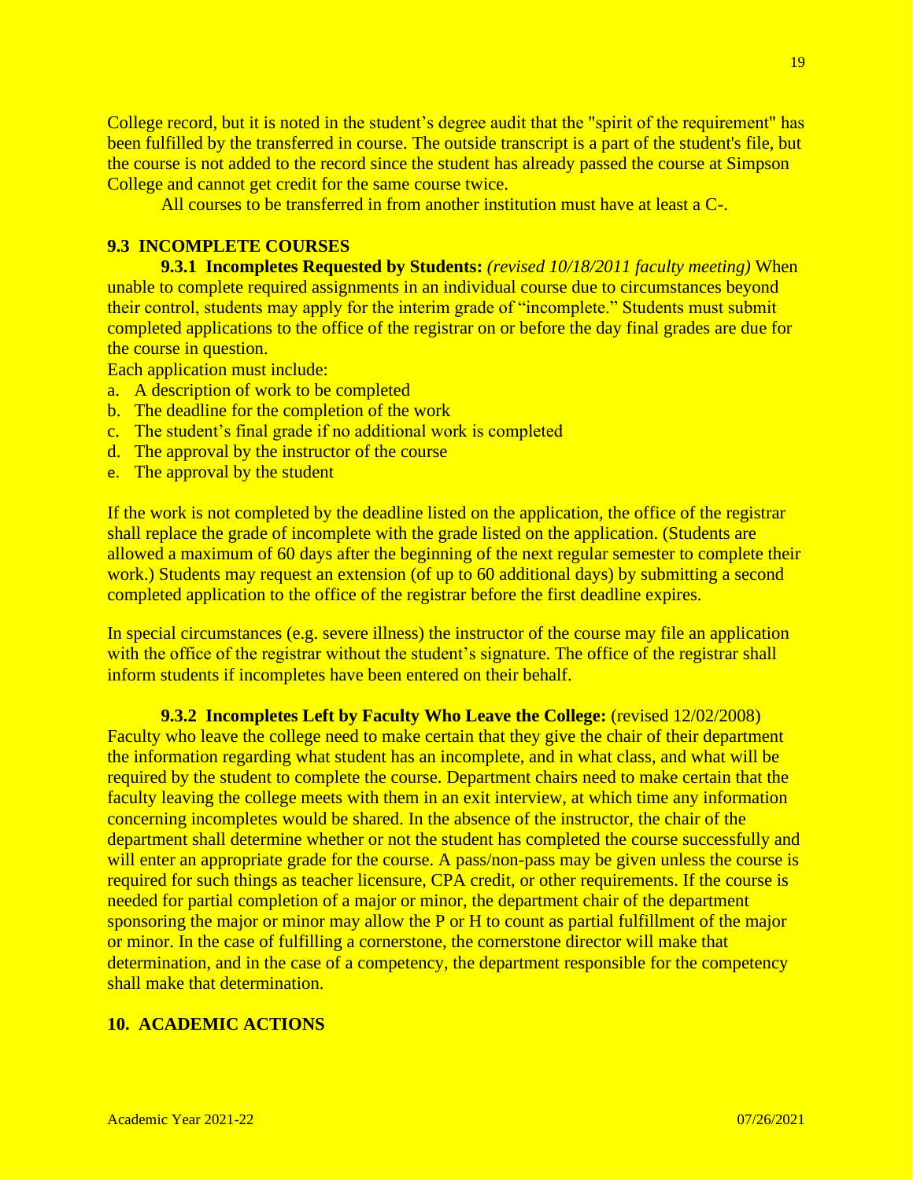College record, but it is noted in the student's degree audit that the "spirit of the requirement" has been fulfilled by the transferred in course. The outside transcript is a part of the student's file, but the course is not added to the record since the student has already passed the course at Simpson College and cannot get credit for the same course twice.

All courses to be transferred in from another institution must have at least a C-.

# **9.3 INCOMPLETE COURSES**

**9.3.1 Incompletes Requested by Students:** *(revised 10/18/2011 faculty meeting)* When unable to complete required assignments in an individual course due to circumstances beyond their control, students may apply for the interim grade of "incomplete." Students must submit completed applications to the office of the registrar on or before the day final grades are due for the course in question.

Each application must include:

- a. A description of work to be completed
- b. The deadline for the completion of the work
- c. The student's final grade if no additional work is completed
- d. The approval by the instructor of the course
- e. The approval by the student

If the work is not completed by the deadline listed on the application, the office of the registrar shall replace the grade of incomplete with the grade listed on the application. (Students are allowed a maximum of 60 days after the beginning of the next regular semester to complete their work.) Students may request an extension (of up to 60 additional days) by submitting a second completed application to the office of the registrar before the first deadline expires.

In special circumstances (e.g. severe illness) the instructor of the course may file an application with the office of the registrar without the student's signature. The office of the registrar shall inform students if incompletes have been entered on their behalf.

**9.3.2 Incompletes Left by Faculty Who Leave the College:** (revised 12/02/2008) Faculty who leave the college need to make certain that they give the chair of their department the information regarding what student has an incomplete, and in what class, and what will be required by the student to complete the course. Department chairs need to make certain that the faculty leaving the college meets with them in an exit interview, at which time any information concerning incompletes would be shared. In the absence of the instructor, the chair of the department shall determine whether or not the student has completed the course successfully and will enter an appropriate grade for the course. A pass/non-pass may be given unless the course is required for such things as teacher licensure, CPA credit, or other requirements. If the course is needed for partial completion of a major or minor, the department chair of the department sponsoring the major or minor may allow the P or H to count as partial fulfillment of the major or minor. In the case of fulfilling a cornerstone, the cornerstone director will make that determination, and in the case of a competency, the department responsible for the competency shall make that determination.

# **10. ACADEMIC ACTIONS**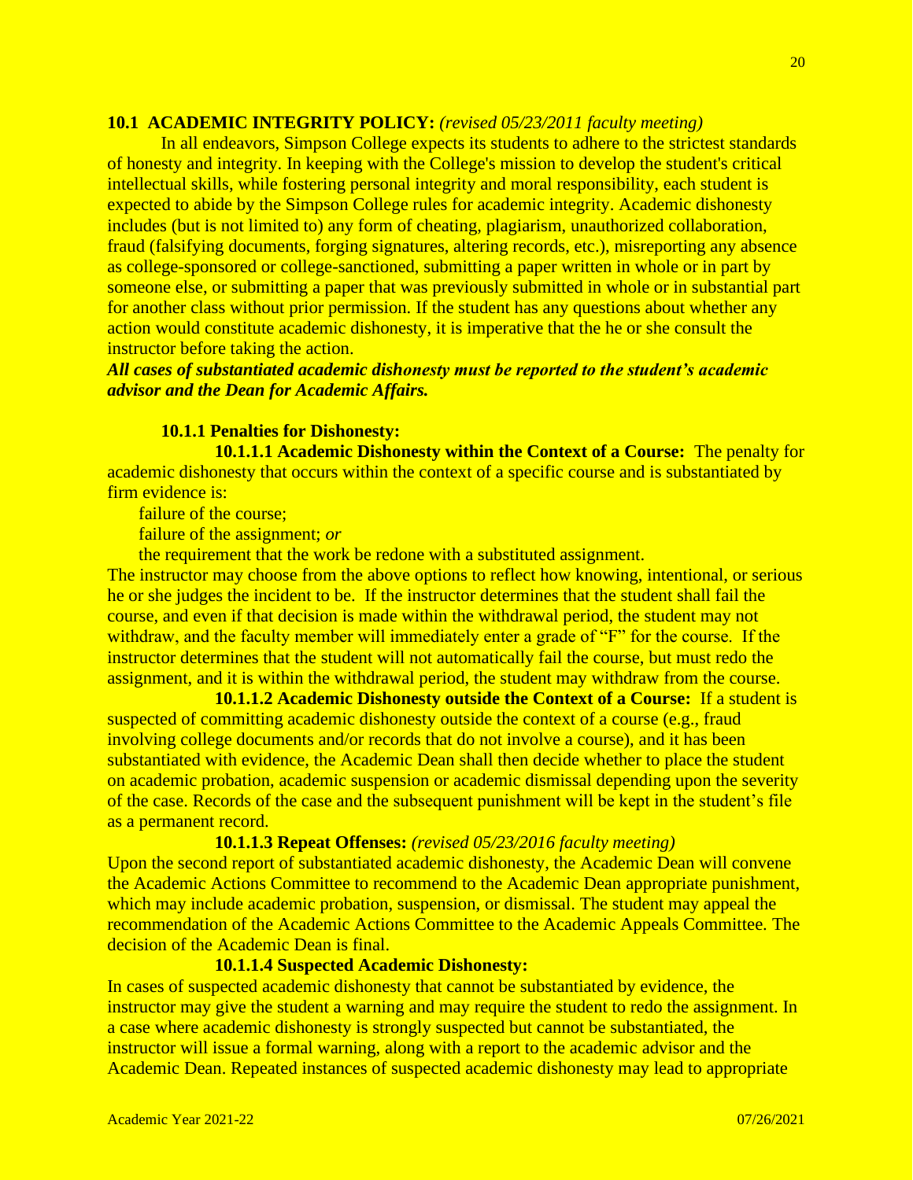## **10.1 ACADEMIC INTEGRITY POLICY:** *(revised 05/23/2011 faculty meeting)*

In all endeavors, Simpson College expects its students to adhere to the strictest standards of honesty and integrity. In keeping with the College's mission to develop the student's critical intellectual skills, while fostering personal integrity and moral responsibility, each student is expected to abide by the Simpson College rules for academic integrity. Academic dishonesty includes (but is not limited to) any form of cheating, plagiarism, unauthorized collaboration, fraud (falsifying documents, forging signatures, altering records, etc.), misreporting any absence as college-sponsored or college-sanctioned, submitting a paper written in whole or in part by someone else, or submitting a paper that was previously submitted in whole or in substantial part for another class without prior permission. If the student has any questions about whether any action would constitute academic dishonesty, it is imperative that the he or she consult the instructor before taking the action.

## *All cases of substantiated academic dishonesty must be reported to the student's academic advisor and the Dean for Academic Affairs.*

### **10.1.1 Penalties for Dishonesty:**

 **10.1.1.1 Academic Dishonesty within the Context of a Course:** The penalty for academic dishonesty that occurs within the context of a specific course and is substantiated by firm evidence is:

failure of the course;

failure of the assignment; *or*

the requirement that the work be redone with a substituted assignment.

The instructor may choose from the above options to reflect how knowing, intentional, or serious he or she judges the incident to be. If the instructor determines that the student shall fail the course, and even if that decision is made within the withdrawal period, the student may not withdraw, and the faculty member will immediately enter a grade of "F" for the course. If the instructor determines that the student will not automatically fail the course, but must redo the assignment, and it is within the withdrawal period, the student may withdraw from the course.

**10.1.1.2 Academic Dishonesty outside the Context of a Course:** If a student is suspected of committing academic dishonesty outside the context of a course (e.g., fraud involving college documents and/or records that do not involve a course), and it has been substantiated with evidence, the Academic Dean shall then decide whether to place the student on academic probation, academic suspension or academic dismissal depending upon the severity of the case. Records of the case and the subsequent punishment will be kept in the student's file as a permanent record.

#### **10.1.1.3 Repeat Offenses:** *(revised 05/23/2016 faculty meeting)*

Upon the second report of substantiated academic dishonesty, the Academic Dean will convene the Academic Actions Committee to recommend to the Academic Dean appropriate punishment, which may include academic probation, suspension, or dismissal. The student may appeal the recommendation of the Academic Actions Committee to the Academic Appeals Committee. The decision of the Academic Dean is final.

## **10.1.1.4 Suspected Academic Dishonesty:**

In cases of suspected academic dishonesty that cannot be substantiated by evidence, the instructor may give the student a warning and may require the student to redo the assignment. In a case where academic dishonesty is strongly suspected but cannot be substantiated, the instructor will issue a formal warning, along with a report to the academic advisor and the Academic Dean. Repeated instances of suspected academic dishonesty may lead to appropriate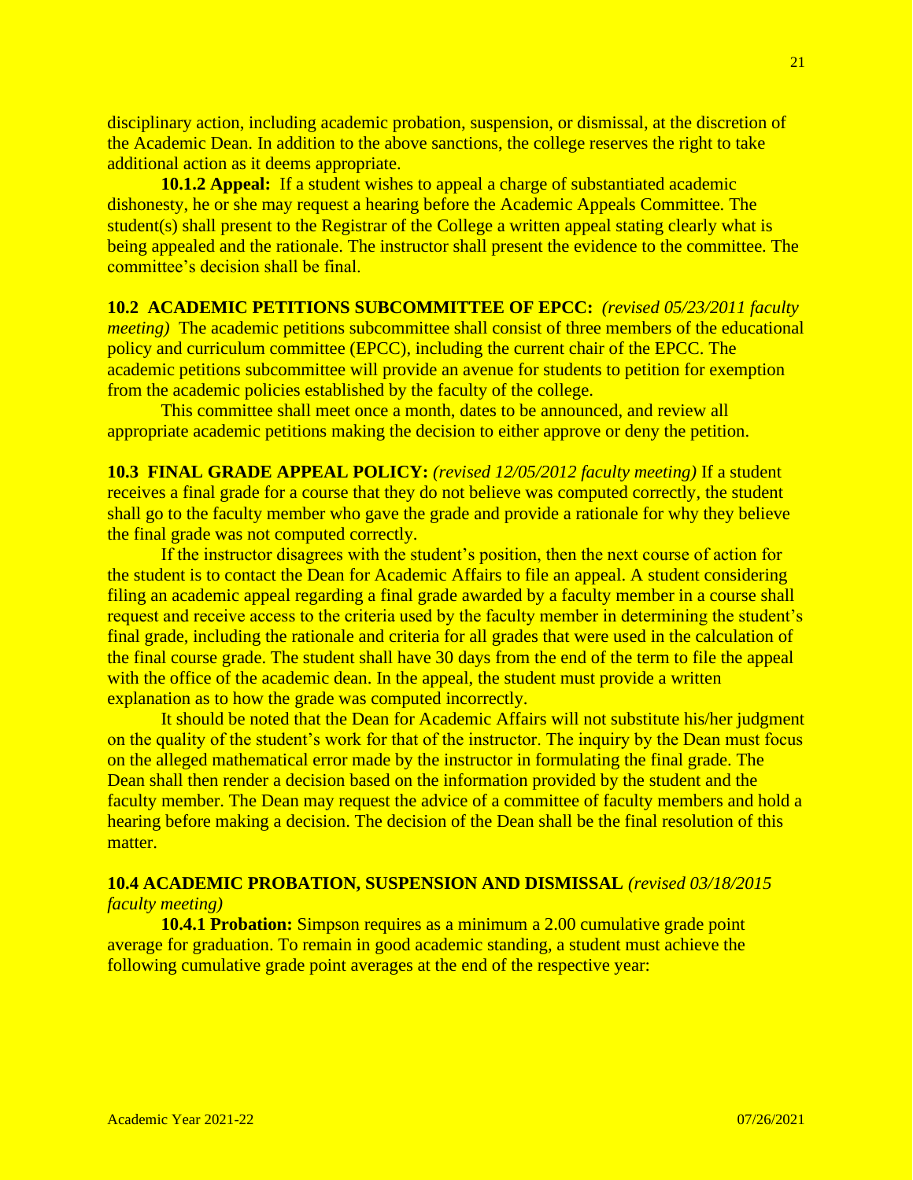disciplinary action, including academic probation, suspension, or dismissal, at the discretion of the Academic Dean. In addition to the above sanctions, the college reserves the right to take additional action as it deems appropriate.

**10.1.2 Appeal:** If a student wishes to appeal a charge of substantiated academic dishonesty, he or she may request a hearing before the Academic Appeals Committee. The student(s) shall present to the Registrar of the College a written appeal stating clearly what is being appealed and the rationale. The instructor shall present the evidence to the committee. The committee's decision shall be final.

### **10.2 ACADEMIC PETITIONS SUBCOMMITTEE OF EPCC:** *(revised 05/23/2011 faculty*

*meeting*) The academic petitions subcommittee shall consist of three members of the educational policy and curriculum committee (EPCC), including the current chair of the EPCC. The academic petitions subcommittee will provide an avenue for students to petition for exemption from the academic policies established by the faculty of the college.

This committee shall meet once a month, dates to be announced, and review all appropriate academic petitions making the decision to either approve or deny the petition.

**10.3 FINAL GRADE APPEAL POLICY:** *(revised 12/05/2012 faculty meeting)* If a student receives a final grade for a course that they do not believe was computed correctly, the student shall go to the faculty member who gave the grade and provide a rationale for why they believe the final grade was not computed correctly.

If the instructor disagrees with the student's position, then the next course of action for the student is to contact the Dean for Academic Affairs to file an appeal. A student considering filing an academic appeal regarding a final grade awarded by a faculty member in a course shall request and receive access to the criteria used by the faculty member in determining the student's final grade, including the rationale and criteria for all grades that were used in the calculation of the final course grade. The student shall have 30 days from the end of the term to file the appeal with the office of the academic dean. In the appeal, the student must provide a written explanation as to how the grade was computed incorrectly.

It should be noted that the Dean for Academic Affairs will not substitute his/her judgment on the quality of the student's work for that of the instructor. The inquiry by the Dean must focus on the alleged mathematical error made by the instructor in formulating the final grade. The Dean shall then render a decision based on the information provided by the student and the faculty member. The Dean may request the advice of a committee of faculty members and hold a hearing before making a decision. The decision of the Dean shall be the final resolution of this matter.

## **10.4 ACADEMIC PROBATION, SUSPENSION AND DISMISSAL** *(revised 03/18/2015 faculty meeting)*

**10.4.1 Probation:** Simpson requires as a minimum a 2.00 cumulative grade point average for graduation. To remain in good academic standing, a student must achieve the following cumulative grade point averages at the end of the respective year: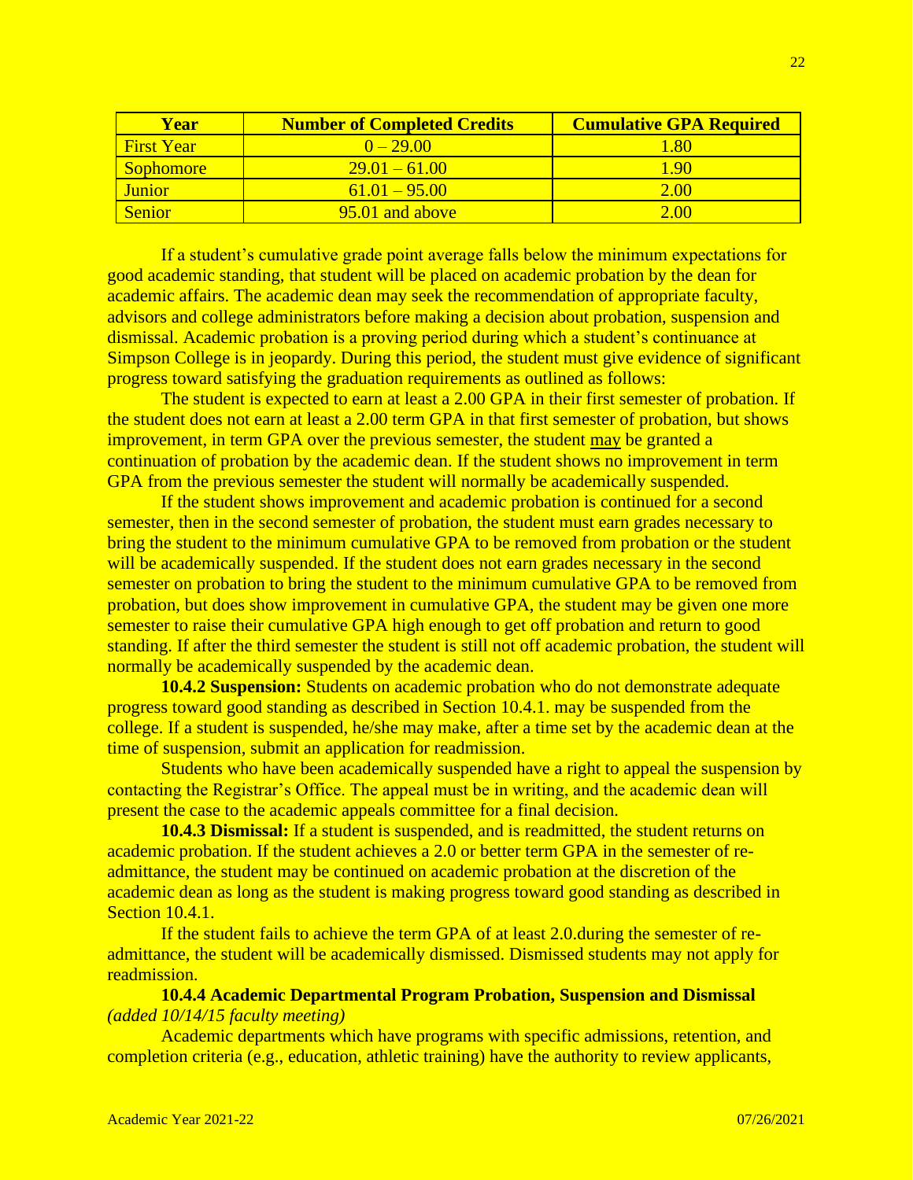| <b>Year</b>       | <b>Number of Completed Credits</b> | <b>Cumulative GPA Required</b> |
|-------------------|------------------------------------|--------------------------------|
| <b>First Year</b> | $0 - 2900$                         | 1.80                           |
| <b>Sophomore</b>  | $29.01 - 61.00$                    | 1 90                           |
| Junior            | $61.01 - 95.00$                    | 2.00                           |
| Senior            | $95.01$ and above                  | 2.00                           |

If a student's cumulative grade point average falls below the minimum expectations for good academic standing, that student will be placed on academic probation by the dean for academic affairs. The academic dean may seek the recommendation of appropriate faculty, advisors and college administrators before making a decision about probation, suspension and dismissal. Academic probation is a proving period during which a student's continuance at Simpson College is in jeopardy. During this period, the student must give evidence of significant progress toward satisfying the graduation requirements as outlined as follows:

The student is expected to earn at least a 2.00 GPA in their first semester of probation. If the student does not earn at least a 2.00 term GPA in that first semester of probation, but shows improvement, in term GPA over the previous semester, the student may be granted a continuation of probation by the academic dean. If the student shows no improvement in term GPA from the previous semester the student will normally be academically suspended.

If the student shows improvement and academic probation is continued for a second semester, then in the second semester of probation, the student must earn grades necessary to bring the student to the minimum cumulative GPA to be removed from probation or the student will be academically suspended. If the student does not earn grades necessary in the second semester on probation to bring the student to the minimum cumulative GPA to be removed from probation, but does show improvement in cumulative GPA, the student may be given one more semester to raise their cumulative GPA high enough to get off probation and return to good standing. If after the third semester the student is still not off academic probation, the student will normally be academically suspended by the academic dean.

**10.4.2 Suspension:** Students on academic probation who do not demonstrate adequate progress toward good standing as described in Section 10.4.1. may be suspended from the college. If a student is suspended, he/she may make, after a time set by the academic dean at the time of suspension, submit an application for readmission.

Students who have been academically suspended have a right to appeal the suspension by contacting the Registrar's Office. The appeal must be in writing, and the academic dean will present the case to the academic appeals committee for a final decision.

**10.4.3 Dismissal:** If a student is suspended, and is readmitted, the student returns on academic probation. If the student achieves a 2.0 or better term GPA in the semester of readmittance, the student may be continued on academic probation at the discretion of the academic dean as long as the student is making progress toward good standing as described in Section 10.4.1.

If the student fails to achieve the term GPA of at least 2.0.during the semester of readmittance, the student will be academically dismissed. Dismissed students may not apply for readmission.

## **10.4.4 Academic Departmental Program Probation, Suspension and Dismissal** *(added 10/14/15 faculty meeting)*

Academic departments which have programs with specific admissions, retention, and completion criteria (e.g., education, athletic training) have the authority to review applicants,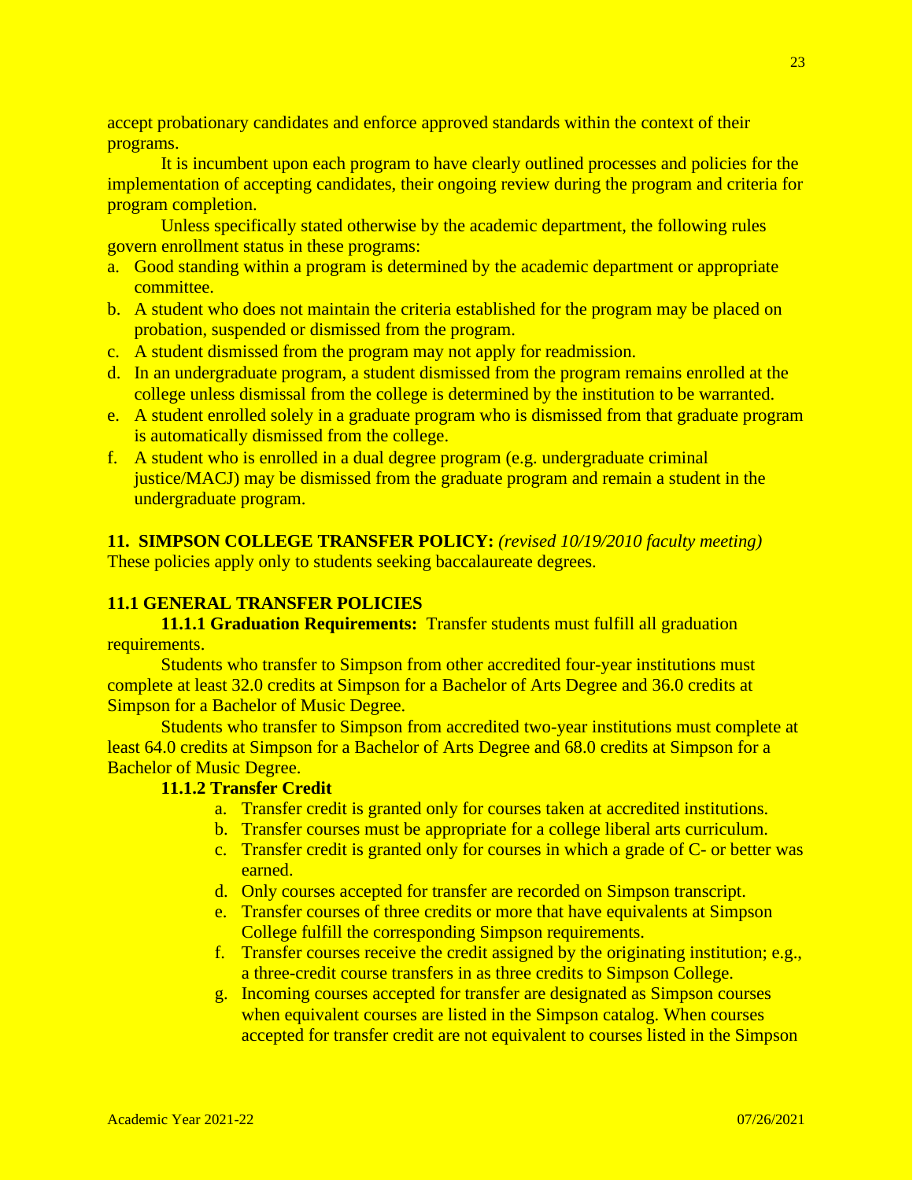accept probationary candidates and enforce approved standards within the context of their programs.

It is incumbent upon each program to have clearly outlined processes and policies for the implementation of accepting candidates, their ongoing review during the program and criteria for program completion.

Unless specifically stated otherwise by the academic department, the following rules govern enrollment status in these programs:

- a. Good standing within a program is determined by the academic department or appropriate committee.
- b. A student who does not maintain the criteria established for the program may be placed on probation, suspended or dismissed from the program.
- c. A student dismissed from the program may not apply for readmission.
- d. In an undergraduate program, a student dismissed from the program remains enrolled at the college unless dismissal from the college is determined by the institution to be warranted.
- e. A student enrolled solely in a graduate program who is dismissed from that graduate program is automatically dismissed from the college.
- f. A student who is enrolled in a dual degree program (e.g. undergraduate criminal justice/MACJ) may be dismissed from the graduate program and remain a student in the undergraduate program.

**11. SIMPSON COLLEGE TRANSFER POLICY:** *(revised 10/19/2010 faculty meeting)* These policies apply only to students seeking baccalaureate degrees.

## **11.1 GENERAL TRANSFER POLICIES**

**11.1.1 Graduation Requirements:** Transfer students must fulfill all graduation requirements.

Students who transfer to Simpson from other accredited four-year institutions must complete at least 32.0 credits at Simpson for a Bachelor of Arts Degree and 36.0 credits at Simpson for a Bachelor of Music Degree.

Students who transfer to Simpson from accredited two-year institutions must complete at least 64.0 credits at Simpson for a Bachelor of Arts Degree and 68.0 credits at Simpson for a Bachelor of Music Degree.

## **11.1.2 Transfer Credit**

- a. Transfer credit is granted only for courses taken at accredited institutions.
- b. Transfer courses must be appropriate for a college liberal arts curriculum.
- c. Transfer credit is granted only for courses in which a grade of C- or better was earned.
- d. Only courses accepted for transfer are recorded on Simpson transcript.
- e. Transfer courses of three credits or more that have equivalents at Simpson College fulfill the corresponding Simpson requirements.
- f. Transfer courses receive the credit assigned by the originating institution; e.g., a three-credit course transfers in as three credits to Simpson College.
- g. Incoming courses accepted for transfer are designated as Simpson courses when equivalent courses are listed in the Simpson catalog. When courses accepted for transfer credit are not equivalent to courses listed in the Simpson